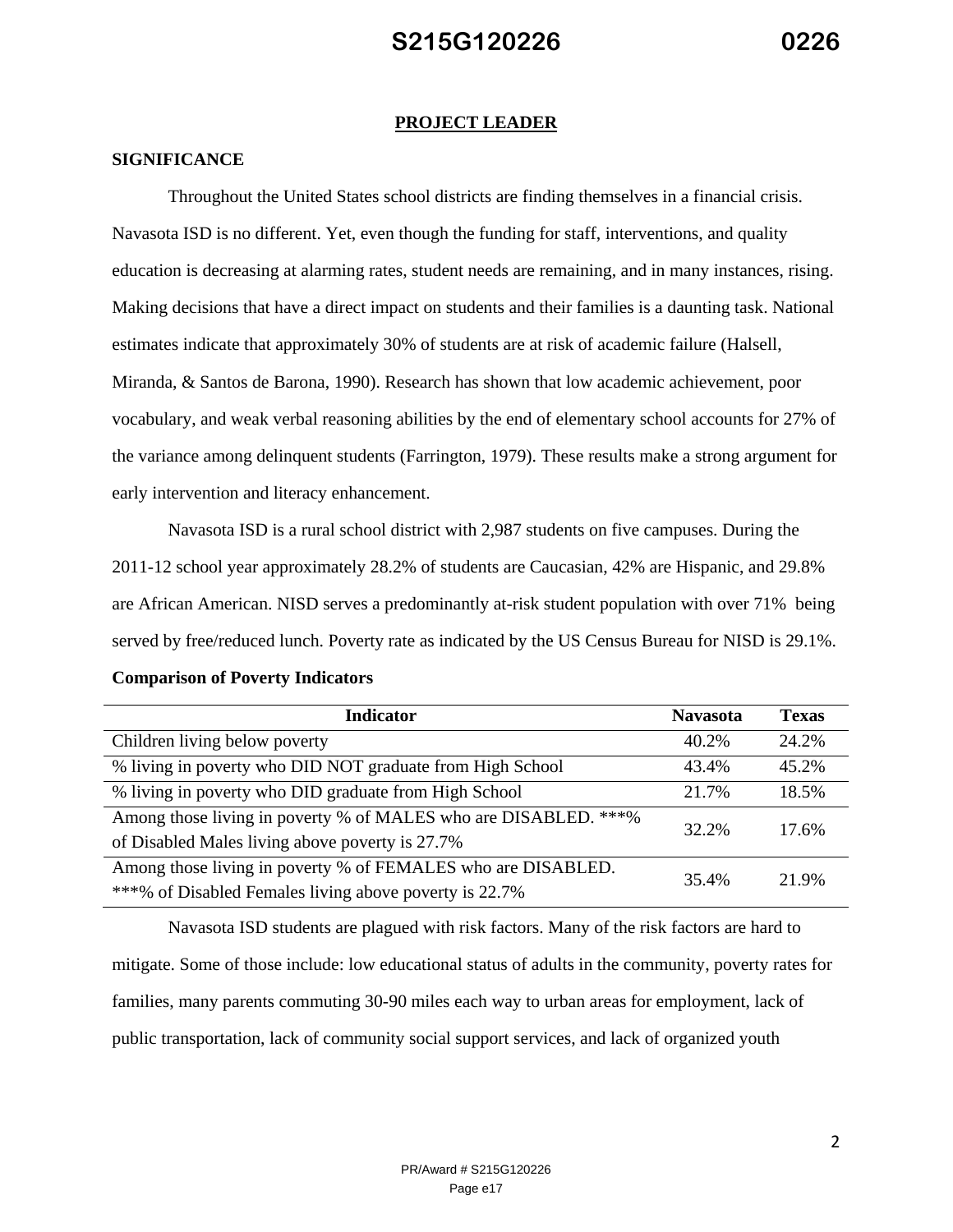#### **PROJECT LEADER**

#### **SIGNIFICANCE**

Throughout the United States school districts are finding themselves in a financial crisis. Navasota ISD is no different. Yet, even though the funding for staff, interventions, and quality education is decreasing at alarming rates, student needs are remaining, and in many instances, rising. Making decisions that have a direct impact on students and their families is a daunting task. National estimates indicate that approximately 30% of students are at risk of academic failure (Halsell, Miranda, & Santos de Barona, 1990). Research has shown that low academic achievement, poor vocabulary, and weak verbal reasoning abilities by the end of elementary school accounts for 27% of the variance among delinquent students (Farrington, 1979). These results make a strong argument for early intervention and literacy enhancement.

Navasota ISD is a rural school district with 2,987 students on five campuses. During the 2011-12 school year approximately 28.2% of students are Caucasian, 42% are Hispanic, and 29.8% are African American. NISD serves a predominantly at-risk student population with over 71% being served by free/reduced lunch. Poverty rate as indicated by the US Census Bureau for NISD is 29.1%.

| <b>Indicator</b>                                                | <b>Navasota</b> | <b>Texas</b> |  |
|-----------------------------------------------------------------|-----------------|--------------|--|
| Children living below poverty                                   | 40.2%           | 24.2%        |  |
| % living in poverty who DID NOT graduate from High School       | 43.4%           | 45.2%        |  |
| % living in poverty who DID graduate from High School           | 21.7%           | 18.5%        |  |
| Among those living in poverty % of MALES who are DISABLED. ***% |                 | 17.6%        |  |
| of Disabled Males living above poverty is 27.7%                 | 32.2%           |              |  |
| Among those living in poverty % of FEMALES who are DISABLED.    | 35.4%           | 21.9%        |  |
| ***% of Disabled Females living above poverty is 22.7%          |                 |              |  |

#### **Comparison of Poverty Indicators**

Navasota ISD students are plagued with risk factors. Many of the risk factors are hard to mitigate. Some of those include: low educational status of adults in the community, poverty rates for families, many parents commuting 30-90 miles each way to urban areas for employment, lack of public transportation, lack of community social support services, and lack of organized youth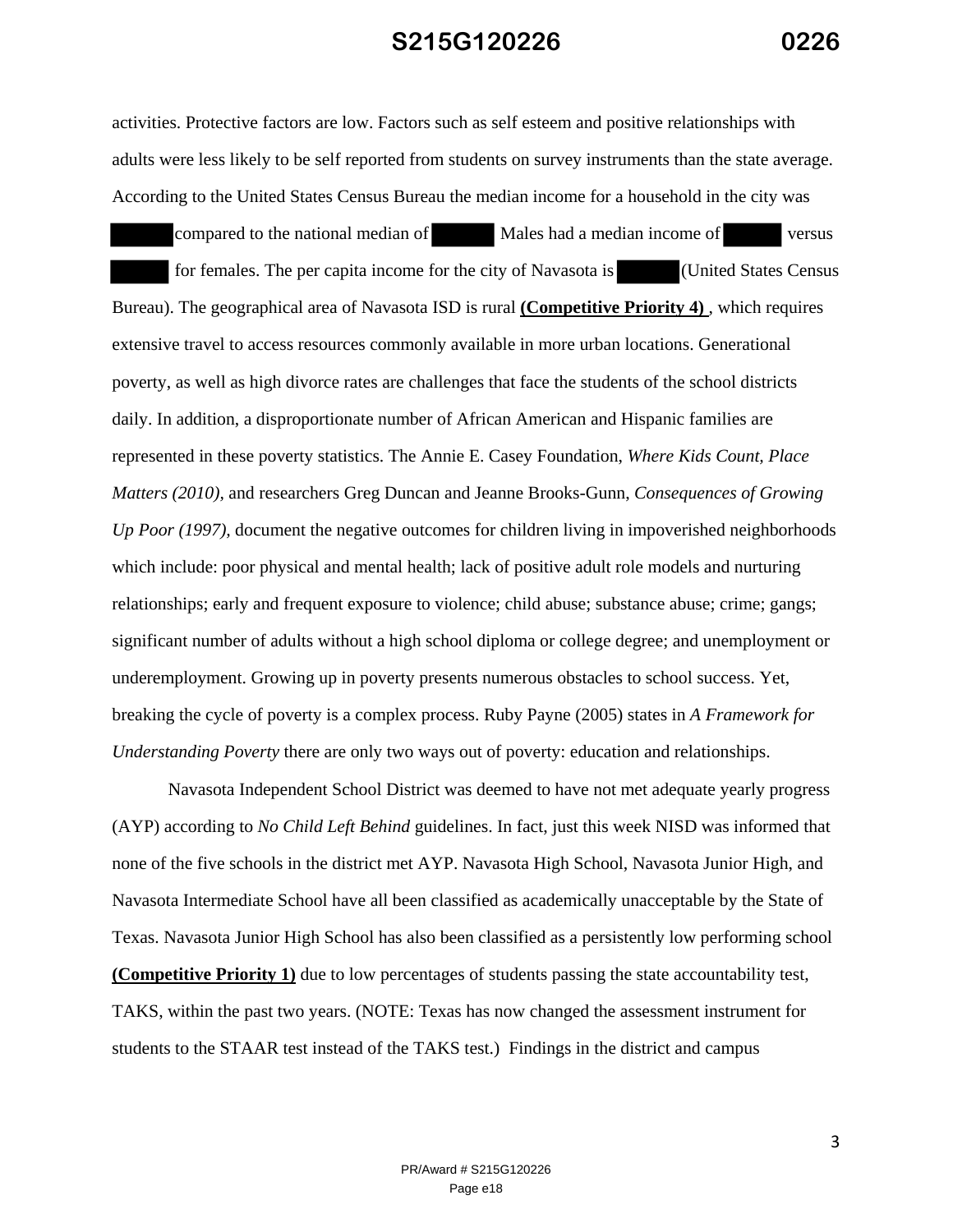activities. Protective factors are low. Factors such as self esteem and positive relationships with adults were less likely to be self reported from students on survey instruments than the state average. According to the United States Census Bureau the median income for a household in the city was

compared to the national median of Males had a median income of versus for females. The per capita income for the city of Navasota is (United States Census Bureau). The geographical area of Navasota ISD is rural **(Competitive Priority 4)** , which requires extensive travel to access resources commonly available in more urban locations. Generational poverty, as well as high divorce rates are challenges that face the students of the school districts daily. In addition, a disproportionate number of African American and Hispanic families are represented in these poverty statistics. The Annie E. Casey Foundation, *Where Kids Count, Place Matters (2010),* and researchers Greg Duncan and Jeanne Brooks-Gunn, *Consequences of Growing Up Poor (1997),* document the negative outcomes for children living in impoverished neighborhoods which include: poor physical and mental health; lack of positive adult role models and nurturing relationships; early and frequent exposure to violence; child abuse; substance abuse; crime; gangs; significant number of adults without a high school diploma or college degree; and unemployment or underemployment. Growing up in poverty presents numerous obstacles to school success. Yet, breaking the cycle of poverty is a complex process. Ruby Payne (2005) states in *A Framework for Understanding Poverty* there are only two ways out of poverty: education and relationships.

Navasota Independent School District was deemed to have not met adequate yearly progress (AYP) according to *No Child Left Behind* guidelines. In fact, just this week NISD was informed that none of the five schools in the district met AYP. Navasota High School, Navasota Junior High, and Navasota Intermediate School have all been classified as academically unacceptable by the State of Texas. Navasota Junior High School has also been classified as a persistently low performing school **(Competitive Priority 1)** due to low percentages of students passing the state accountability test, TAKS, within the past two years. (NOTE: Texas has now changed the assessment instrument for students to the STAAR test instead of the TAKS test.) Findings in the district and campus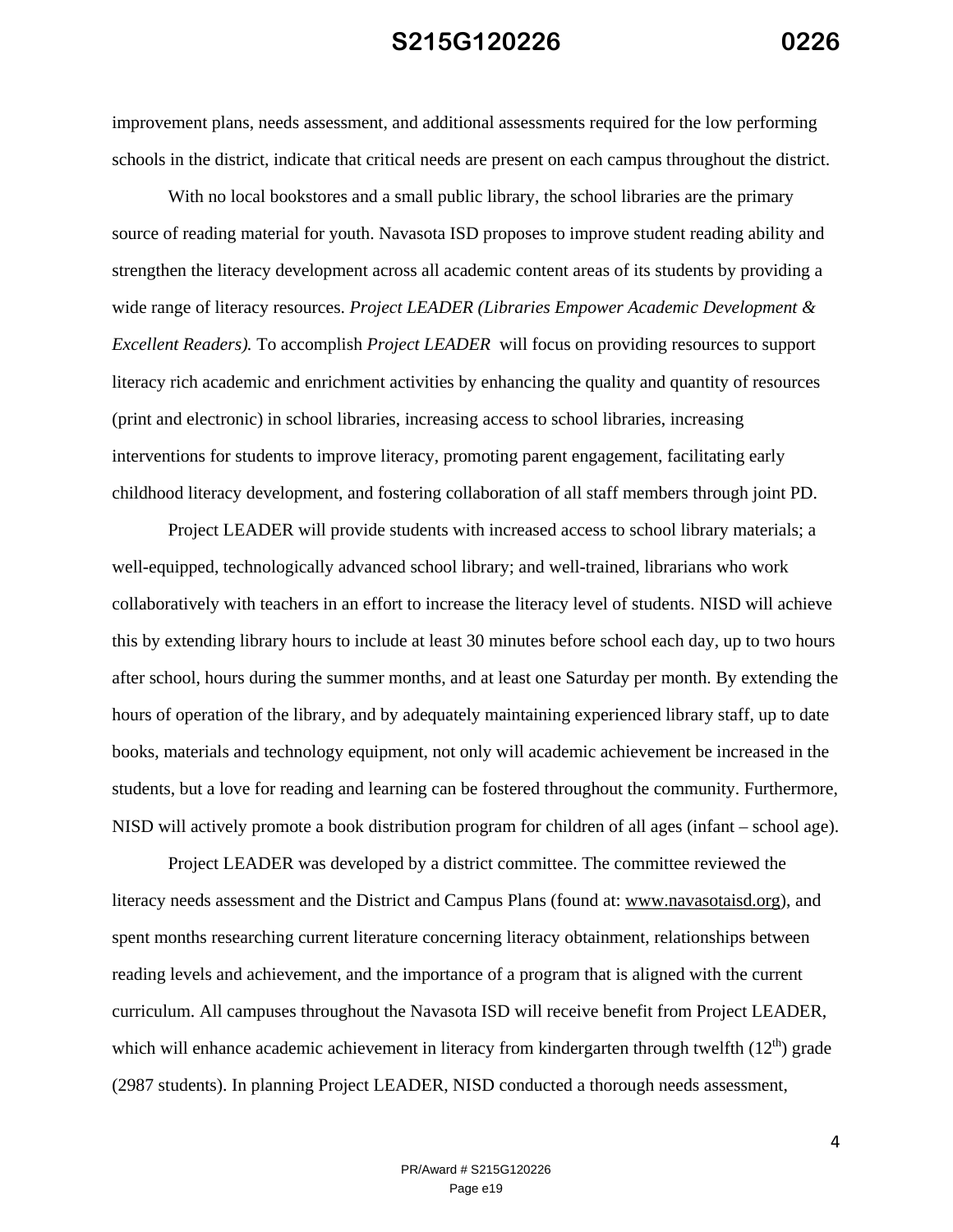improvement plans, needs assessment, and additional assessments required for the low performing schools in the district, indicate that critical needs are present on each campus throughout the district.

With no local bookstores and a small public library, the school libraries are the primary source of reading material for youth. Navasota ISD proposes to improve student reading ability and strengthen the literacy development across all academic content areas of its students by providing a wide range of literacy resources. *Project LEADER (Libraries Empower Academic Development & Excellent Readers).* To accomplish *Project LEADER* will focus on providing resources to support literacy rich academic and enrichment activities by enhancing the quality and quantity of resources (print and electronic) in school libraries, increasing access to school libraries, increasing interventions for students to improve literacy, promoting parent engagement, facilitating early childhood literacy development, and fostering collaboration of all staff members through joint PD.

Project LEADER will provide students with increased access to school library materials; a well-equipped, technologically advanced school library; and well-trained, librarians who work collaboratively with teachers in an effort to increase the literacy level of students. NISD will achieve this by extending library hours to include at least 30 minutes before school each day, up to two hours after school, hours during the summer months, and at least one Saturday per month. By extending the hours of operation of the library, and by adequately maintaining experienced library staff, up to date books, materials and technology equipment, not only will academic achievement be increased in the students, but a love for reading and learning can be fostered throughout the community. Furthermore, NISD will actively promote a book distribution program for children of all ages (infant – school age).

Project LEADER was developed by a district committee. The committee reviewed the literacy needs assessment and the District and Campus Plans (found at: www.navasotaisd.org), and spent months researching current literature concerning literacy obtainment, relationships between reading levels and achievement, and the importance of a program that is aligned with the current curriculum. All campuses throughout the Navasota ISD will receive benefit from Project LEADER, which will enhance academic achievement in literacy from kindergarten through twelfth  $(12<sup>th</sup>)$  grade (2987 students). In planning Project LEADER, NISD conducted a thorough needs assessment,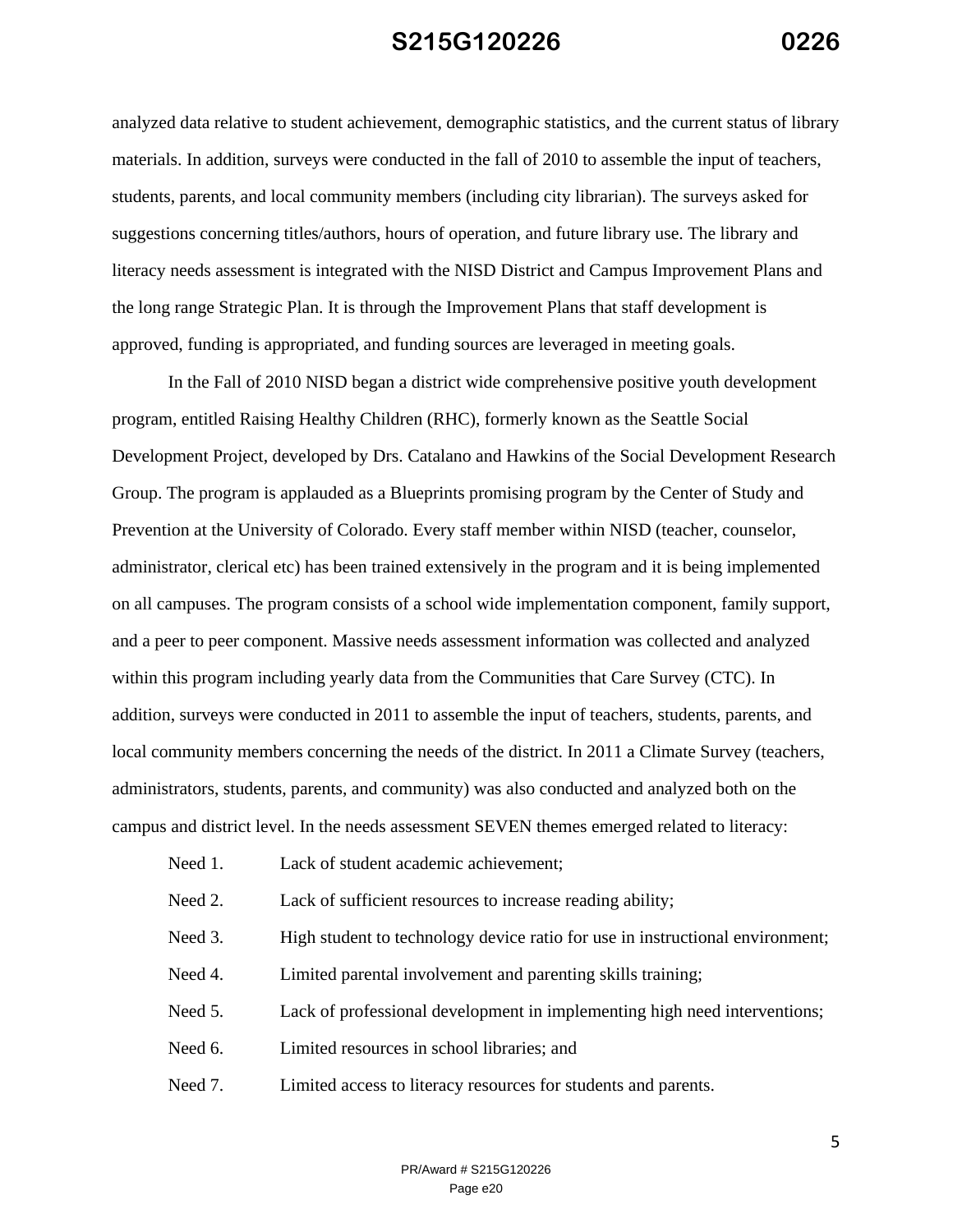analyzed data relative to student achievement, demographic statistics, and the current status of library materials. In addition, surveys were conducted in the fall of 2010 to assemble the input of teachers, students, parents, and local community members (including city librarian). The surveys asked for suggestions concerning titles/authors, hours of operation, and future library use. The library and literacy needs assessment is integrated with the NISD District and Campus Improvement Plans and the long range Strategic Plan. It is through the Improvement Plans that staff development is approved, funding is appropriated, and funding sources are leveraged in meeting goals.

In the Fall of 2010 NISD began a district wide comprehensive positive youth development program, entitled Raising Healthy Children (RHC), formerly known as the Seattle Social Development Project, developed by Drs. Catalano and Hawkins of the Social Development Research Group. The program is applauded as a Blueprints promising program by the Center of Study and Prevention at the University of Colorado. Every staff member within NISD (teacher, counselor, administrator, clerical etc) has been trained extensively in the program and it is being implemented on all campuses. The program consists of a school wide implementation component, family support, and a peer to peer component. Massive needs assessment information was collected and analyzed within this program including yearly data from the Communities that Care Survey (CTC). In addition, surveys were conducted in 2011 to assemble the input of teachers, students, parents, and local community members concerning the needs of the district. In 2011 a Climate Survey (teachers, administrators, students, parents, and community) was also conducted and analyzed both on the campus and district level. In the needs assessment SEVEN themes emerged related to literacy:

Need 1. Lack of student academic achievement:

Need 2. Lack of sufficient resources to increase reading ability;

- Need 3. High student to technology device ratio for use in instructional environment;
- Need 4. Limited parental involvement and parenting skills training;
- Need 5. Lack of professional development in implementing high need interventions;
- Need 6. Limited resources in school libraries: and
- Need 7. Limited access to literacy resources for students and parents.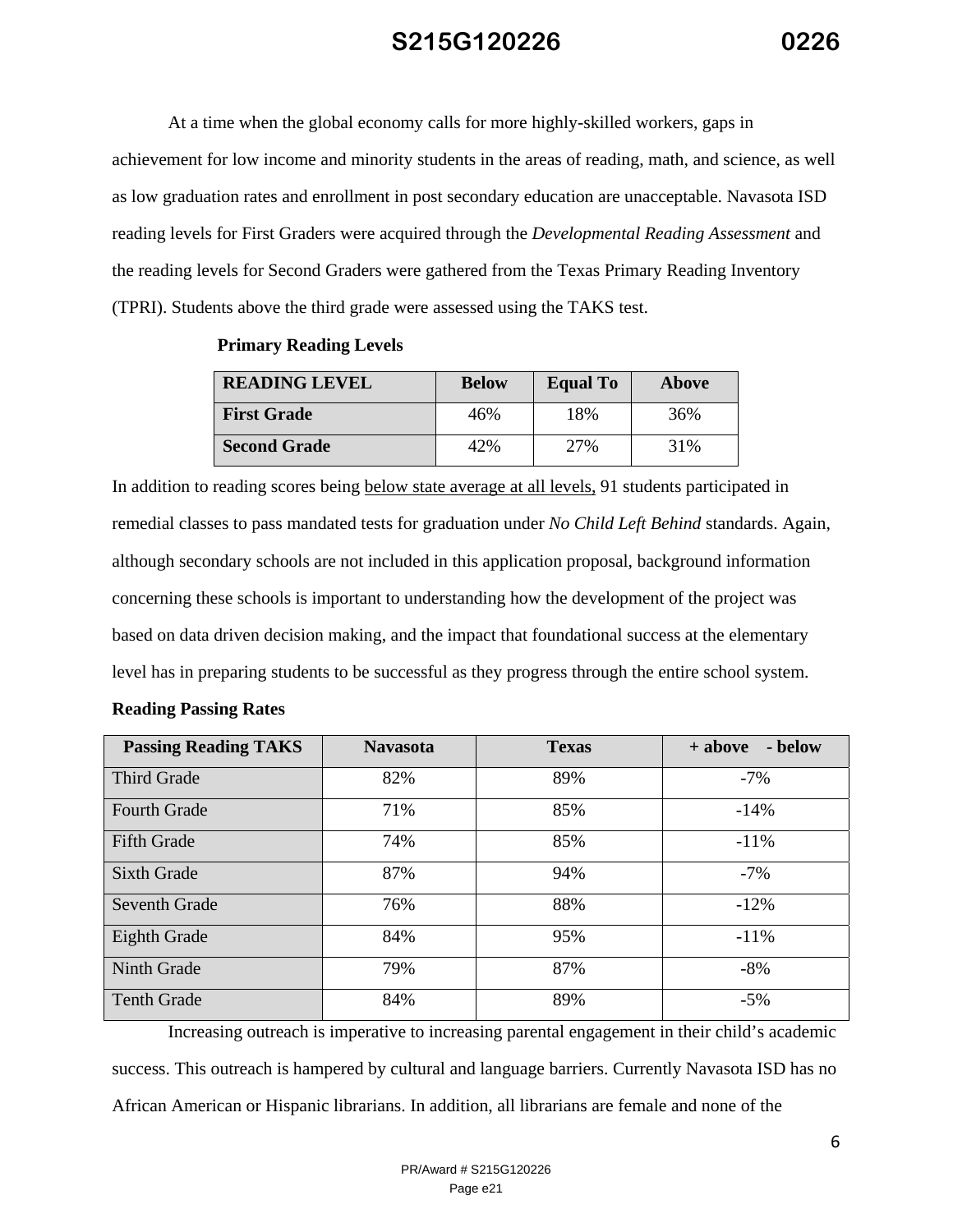At a time when the global economy calls for more highly-skilled workers, gaps in achievement for low income and minority students in the areas of reading, math, and science, as well as low graduation rates and enrollment in post secondary education are unacceptable. Navasota ISD reading levels for First Graders were acquired through the *Developmental Reading Assessment* and the reading levels for Second Graders were gathered from the Texas Primary Reading Inventory (TPRI). Students above the third grade were assessed using the TAKS test.

| <b>READING LEVEL</b> | <b>Below</b> | <b>Equal To</b> | Above |
|----------------------|--------------|-----------------|-------|
| <b>First Grade</b>   | 46%          | 18%             | 36%   |
| <b>Second Grade</b>  | '2%          | 27%             | 31%   |

#### **Primary Reading Levels**

In addition to reading scores being below state average at all levels, 91 students participated in remedial classes to pass mandated tests for graduation under *No Child Left Behind* standards. Again, although secondary schools are not included in this application proposal, background information concerning these schools is important to understanding how the development of the project was based on data driven decision making, and the impact that foundational success at the elementary level has in preparing students to be successful as they progress through the entire school system.

| <b>Passing Reading TAKS</b> | <b>Navasota</b> | <b>Texas</b> | - below<br>+ above |
|-----------------------------|-----------------|--------------|--------------------|
| <b>Third Grade</b>          | 82%             | 89%          | $-7\%$             |
| <b>Fourth Grade</b>         | 71%             | 85%          | $-14%$             |
| <b>Fifth Grade</b>          | 74%             | 85%          | $-11\%$            |
| <b>Sixth Grade</b>          | 87%             | 94%          | $-7%$              |
| <b>Seventh Grade</b>        | 76%             | 88%          | $-12%$             |
| Eighth Grade                | 84%             | 95%          | $-11\%$            |
| Ninth Grade                 | 79%             | 87%          | $-8%$              |
| <b>Tenth Grade</b>          | 84%             | 89%          | $-5\%$             |

Increasing outreach is imperative to increasing parental engagement in their child's academic success. This outreach is hampered by cultural and language barriers. Currently Navasota ISD has no African American or Hispanic librarians. In addition, all librarians are female and none of the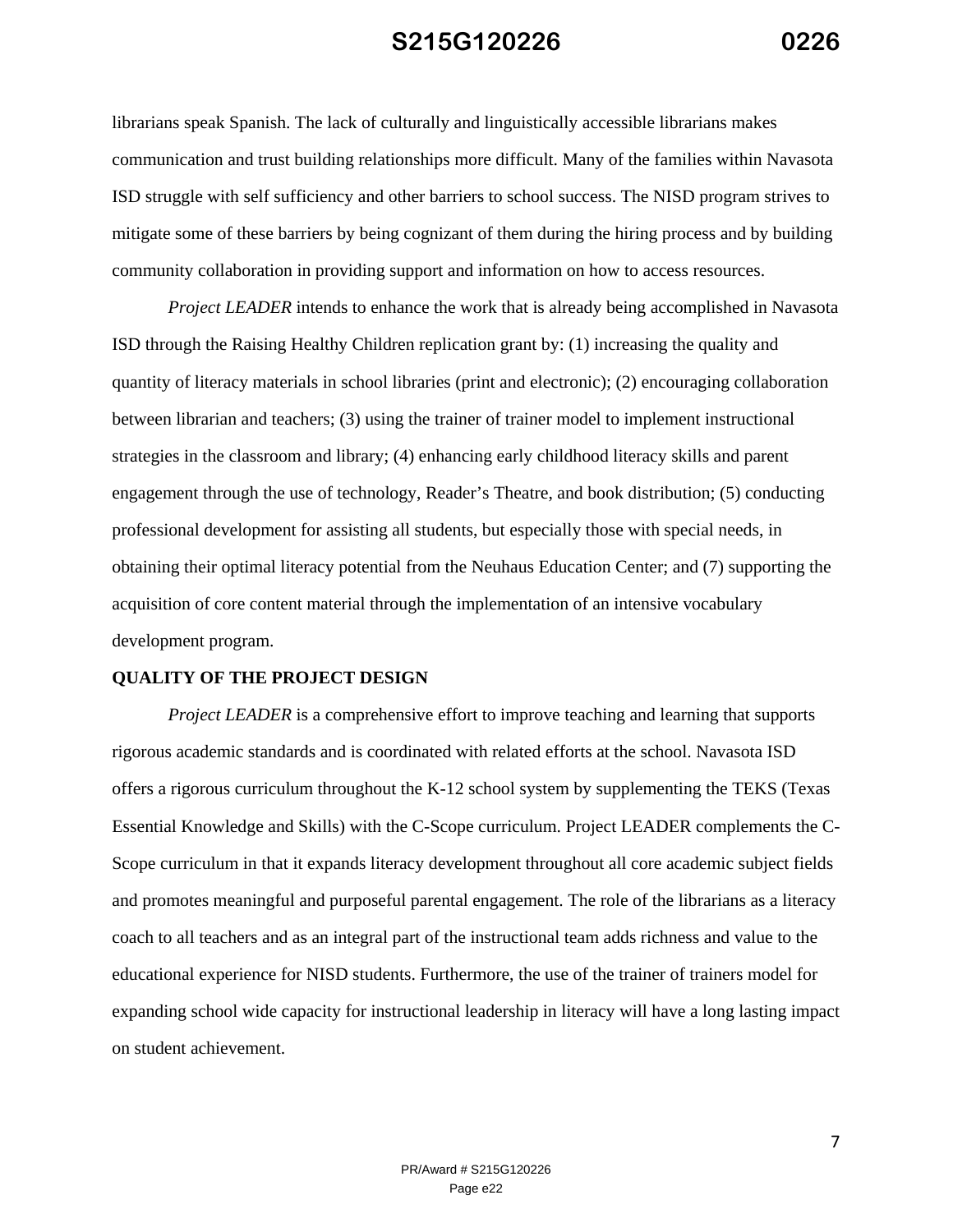librarians speak Spanish. The lack of culturally and linguistically accessible librarians makes communication and trust building relationships more difficult. Many of the families within Navasota ISD struggle with self sufficiency and other barriers to school success. The NISD program strives to mitigate some of these barriers by being cognizant of them during the hiring process and by building community collaboration in providing support and information on how to access resources.

*Project LEADER* intends to enhance the work that is already being accomplished in Navasota ISD through the Raising Healthy Children replication grant by: (1) increasing the quality and quantity of literacy materials in school libraries (print and electronic); (2) encouraging collaboration between librarian and teachers; (3) using the trainer of trainer model to implement instructional strategies in the classroom and library; (4) enhancing early childhood literacy skills and parent engagement through the use of technology, Reader's Theatre, and book distribution; (5) conducting professional development for assisting all students, but especially those with special needs, in obtaining their optimal literacy potential from the Neuhaus Education Center; and (7) supporting the acquisition of core content material through the implementation of an intensive vocabulary development program.

#### **QUALITY OF THE PROJECT DESIGN**

*Project LEADER* is a comprehensive effort to improve teaching and learning that supports rigorous academic standards and is coordinated with related efforts at the school. Navasota ISD offers a rigorous curriculum throughout the K-12 school system by supplementing the TEKS (Texas Essential Knowledge and Skills) with the C-Scope curriculum. Project LEADER complements the C-Scope curriculum in that it expands literacy development throughout all core academic subject fields and promotes meaningful and purposeful parental engagement. The role of the librarians as a literacy coach to all teachers and as an integral part of the instructional team adds richness and value to the educational experience for NISD students. Furthermore, the use of the trainer of trainers model for expanding school wide capacity for instructional leadership in literacy will have a long lasting impact on student achievement.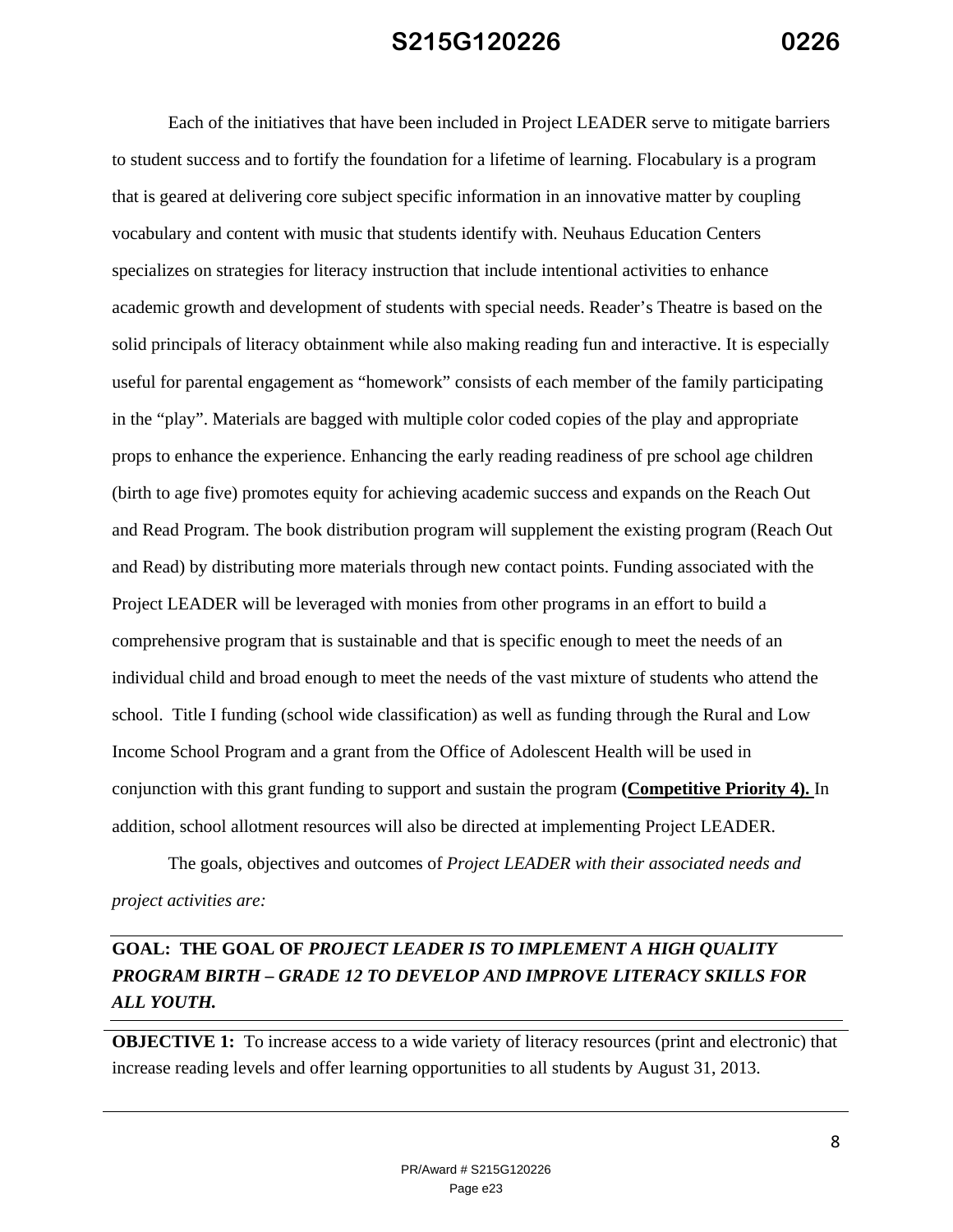Each of the initiatives that have been included in Project LEADER serve to mitigate barriers to student success and to fortify the foundation for a lifetime of learning. Flocabulary is a program that is geared at delivering core subject specific information in an innovative matter by coupling vocabulary and content with music that students identify with. Neuhaus Education Centers specializes on strategies for literacy instruction that include intentional activities to enhance academic growth and development of students with special needs. Reader's Theatre is based on the solid principals of literacy obtainment while also making reading fun and interactive. It is especially useful for parental engagement as "homework" consists of each member of the family participating in the "play". Materials are bagged with multiple color coded copies of the play and appropriate props to enhance the experience. Enhancing the early reading readiness of pre school age children (birth to age five) promotes equity for achieving academic success and expands on the Reach Out and Read Program. The book distribution program will supplement the existing program (Reach Out and Read) by distributing more materials through new contact points. Funding associated with the Project LEADER will be leveraged with monies from other programs in an effort to build a comprehensive program that is sustainable and that is specific enough to meet the needs of an individual child and broad enough to meet the needs of the vast mixture of students who attend the school. Title I funding (school wide classification) as well as funding through the Rural and Low Income School Program and a grant from the Office of Adolescent Health will be used in conjunction with this grant funding to support and sustain the program **(Competitive Priority 4).** In addition, school allotment resources will also be directed at implementing Project LEADER.

The goals, objectives and outcomes of *Project LEADER with their associated needs and project activities are:*

#### **GOAL: THE GOAL OF** *PROJECT LEADER IS TO IMPLEMENT A HIGH QUALITY PROGRAM BIRTH – GRADE 12 TO DEVELOP AND IMPROVE LITERACY SKILLS FOR ALL YOUTH.*

**OBJECTIVE 1:** To increase access to a wide variety of literacy resources (print and electronic) that increase reading levels and offer learning opportunities to all students by August 31, 2013.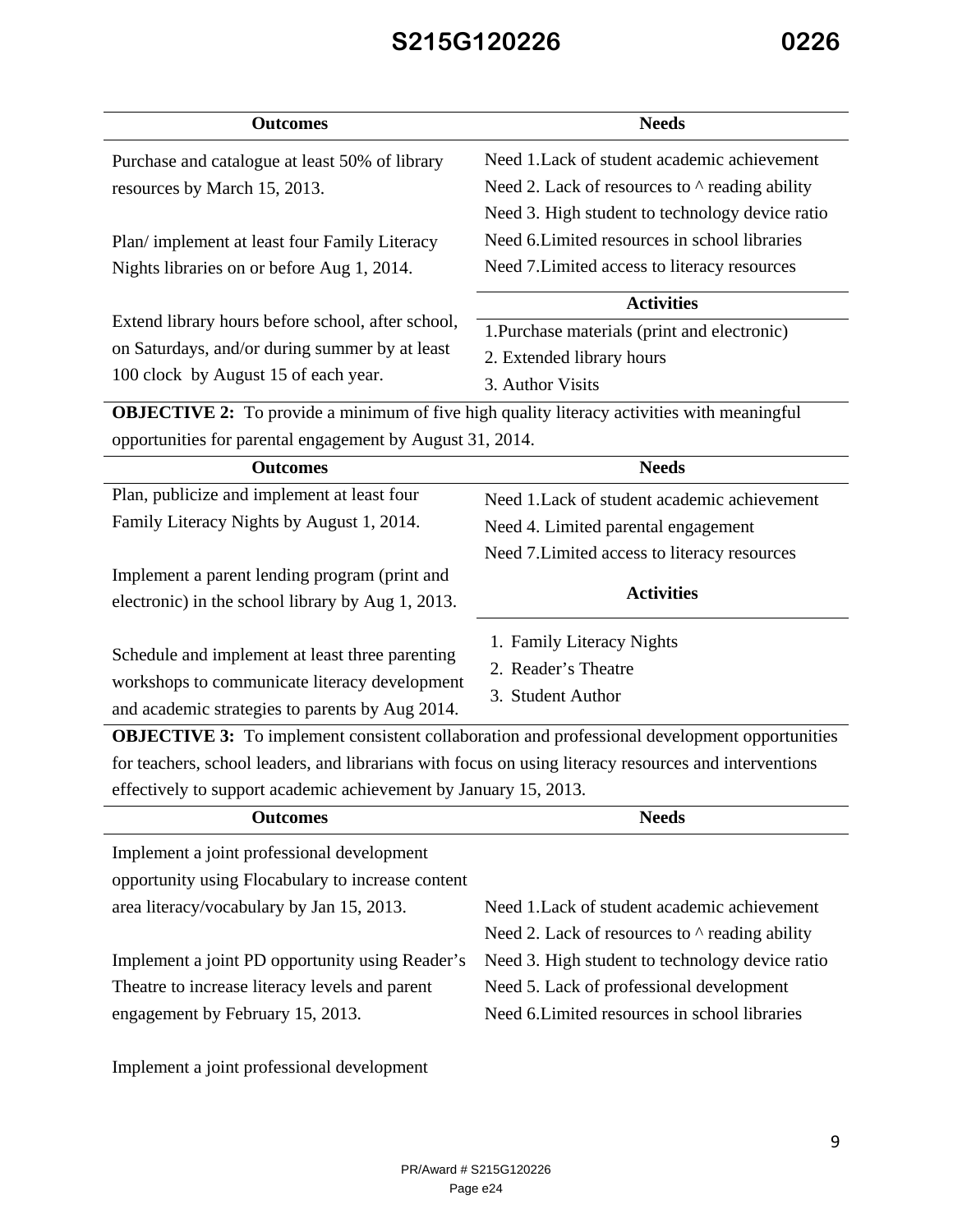| <b>Outcomes</b>                                                                                       | <b>Needs</b>                                                                                         |  |
|-------------------------------------------------------------------------------------------------------|------------------------------------------------------------------------------------------------------|--|
| Purchase and catalogue at least 50% of library                                                        | Need 1. Lack of student academic achievement                                                         |  |
| resources by March 15, 2013.                                                                          | Need 2. Lack of resources to $\wedge$ reading ability                                                |  |
|                                                                                                       | Need 3. High student to technology device ratio                                                      |  |
| Plan/implement at least four Family Literacy                                                          | Need 6. Limited resources in school libraries                                                        |  |
| Nights libraries on or before Aug 1, 2014.                                                            | Need 7. Limited access to literacy resources                                                         |  |
|                                                                                                       | <b>Activities</b>                                                                                    |  |
| Extend library hours before school, after school,                                                     | 1. Purchase materials (print and electronic)                                                         |  |
| on Saturdays, and/or during summer by at least                                                        | 2. Extended library hours                                                                            |  |
| 100 clock by August 15 of each year.                                                                  | 3. Author Visits                                                                                     |  |
| <b>OBJECTIVE 2:</b> To provide a minimum of five high quality literacy activities with meaningful     |                                                                                                      |  |
| opportunities for parental engagement by August 31, 2014.                                             |                                                                                                      |  |
| <b>Outcomes</b>                                                                                       | <b>Needs</b>                                                                                         |  |
| Plan, publicize and implement at least four                                                           | Need 1. Lack of student academic achievement                                                         |  |
| Family Literacy Nights by August 1, 2014.                                                             | Need 4. Limited parental engagement                                                                  |  |
|                                                                                                       | Need 7. Limited access to literacy resources                                                         |  |
| Implement a parent lending program (print and                                                         |                                                                                                      |  |
| electronic) in the school library by Aug 1, 2013.                                                     | <b>Activities</b>                                                                                    |  |
|                                                                                                       | 1. Family Literacy Nights                                                                            |  |
| Schedule and implement at least three parenting                                                       | 2. Reader's Theatre                                                                                  |  |
| workshops to communicate literacy development                                                         | 3. Student Author                                                                                    |  |
| and academic strategies to parents by Aug 2014.                                                       |                                                                                                      |  |
|                                                                                                       | <b>OBJECTIVE 3:</b> To implement consistent collaboration and professional development opportunities |  |
| for teachers, school leaders, and librarians with focus on using literacy resources and interventions |                                                                                                      |  |
| effectively to support academic achievement by January 15, 2013.                                      |                                                                                                      |  |
| <b>Outcomes</b>                                                                                       | <b>Needs</b>                                                                                         |  |
| Implement a joint professional development                                                            |                                                                                                      |  |
| opportunity using Flocabulary to increase content                                                     |                                                                                                      |  |
| area literacy/vocabulary by Jan 15, 2013.                                                             | Need 1. Lack of student academic achievement                                                         |  |
|                                                                                                       | Need 2. Lack of resources to $\wedge$ reading ability                                                |  |
| Implement a joint PD opportunity using Reader's                                                       | Need 3. High student to technology device ratio                                                      |  |
| Theatre to increase literacy levels and parent                                                        | Need 5. Lack of professional development                                                             |  |

engagement by February 15, 2013.

Implement a joint professional development

Need 6. Limited resources in school libraries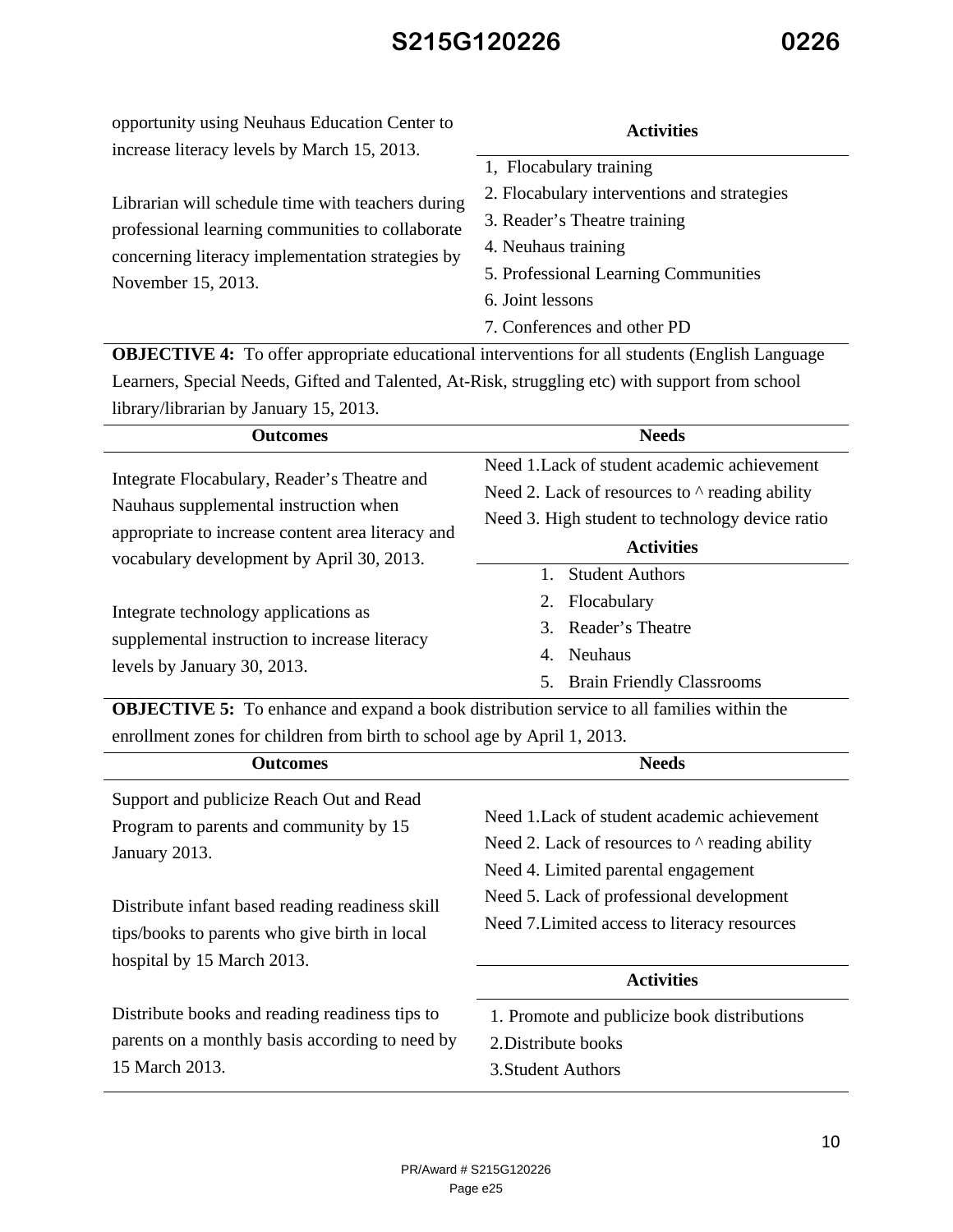increase literacy levels by March 15, 2013. Librarian will schedule time with teachers during professional learning communities to collaborate concerning literacy implementation strategies by November 15, 2013. 1, Flocabulary training 2. Flocabulary interventions and strategies 3. Reader's Theatre training 4. Neuhaus training 5. Professional Learning Communities 6. Joint lessons 7. Conferences and other PD

opportunity using Neuhaus Education Center to

**OBJECTIVE 4:** To offer appropriate educational interventions for all students (English Language Learners, Special Needs, Gifted and Talented, At-Risk, struggling etc) with support from school library/librarian by January 15, 2013.

| <b>Needs</b><br><b>Outcomes</b>                                                                                                                                                                                                                                                                                |                                                       |  |  |
|----------------------------------------------------------------------------------------------------------------------------------------------------------------------------------------------------------------------------------------------------------------------------------------------------------------|-------------------------------------------------------|--|--|
|                                                                                                                                                                                                                                                                                                                | Need 1. Lack of student academic achievement          |  |  |
| Integrate Flocabulary, Reader's Theatre and<br>Nauhaus supplemental instruction when<br>appropriate to increase content area literacy and<br>vocabulary development by April 30, 2013.<br>Integrate technology applications as<br>supplemental instruction to increase literacy<br>levels by January 30, 2013. | Need 2. Lack of resources to $\wedge$ reading ability |  |  |
|                                                                                                                                                                                                                                                                                                                | Need 3. High student to technology device ratio       |  |  |
|                                                                                                                                                                                                                                                                                                                | <b>Activities</b>                                     |  |  |
|                                                                                                                                                                                                                                                                                                                | <b>Student Authors</b>                                |  |  |
|                                                                                                                                                                                                                                                                                                                | Flocabulary<br>2.                                     |  |  |
|                                                                                                                                                                                                                                                                                                                | Reader's Theatre<br>$\mathcal{R}$                     |  |  |
|                                                                                                                                                                                                                                                                                                                | <b>Neuhaus</b><br>4.                                  |  |  |
|                                                                                                                                                                                                                                                                                                                | <b>Brain Friendly Classrooms</b><br>5.                |  |  |

**OBJECTIVE 5:** To enhance and expand a book distribution service to all families within the enrollment zones for children from birth to school age by April 1, 2013.

| <b>Outcomes</b>                                                                                                                                                                                         | <b>Needs</b>                                                                                                                                                                                                                             |  |
|---------------------------------------------------------------------------------------------------------------------------------------------------------------------------------------------------------|------------------------------------------------------------------------------------------------------------------------------------------------------------------------------------------------------------------------------------------|--|
| Support and publicize Reach Out and Read<br>Program to parents and community by 15<br>January 2013.<br>Distribute infant based reading readiness skill<br>tips/books to parents who give birth in local | Need 1.1 ack of student academic achievement<br>Need 2. Lack of resources to $\wedge$ reading ability<br>Need 4. Limited parental engagement<br>Need 5. Lack of professional development<br>Need 7. Limited access to literacy resources |  |
| hospital by 15 March 2013.                                                                                                                                                                              |                                                                                                                                                                                                                                          |  |
|                                                                                                                                                                                                         | <b>Activities</b>                                                                                                                                                                                                                        |  |
| Distribute books and reading readiness tips to<br>parents on a monthly basis according to need by<br>15 March 2013.                                                                                     | 1. Promote and publicize book distributions<br>2. Distribute books<br>3. Student Authors                                                                                                                                                 |  |

**Activities**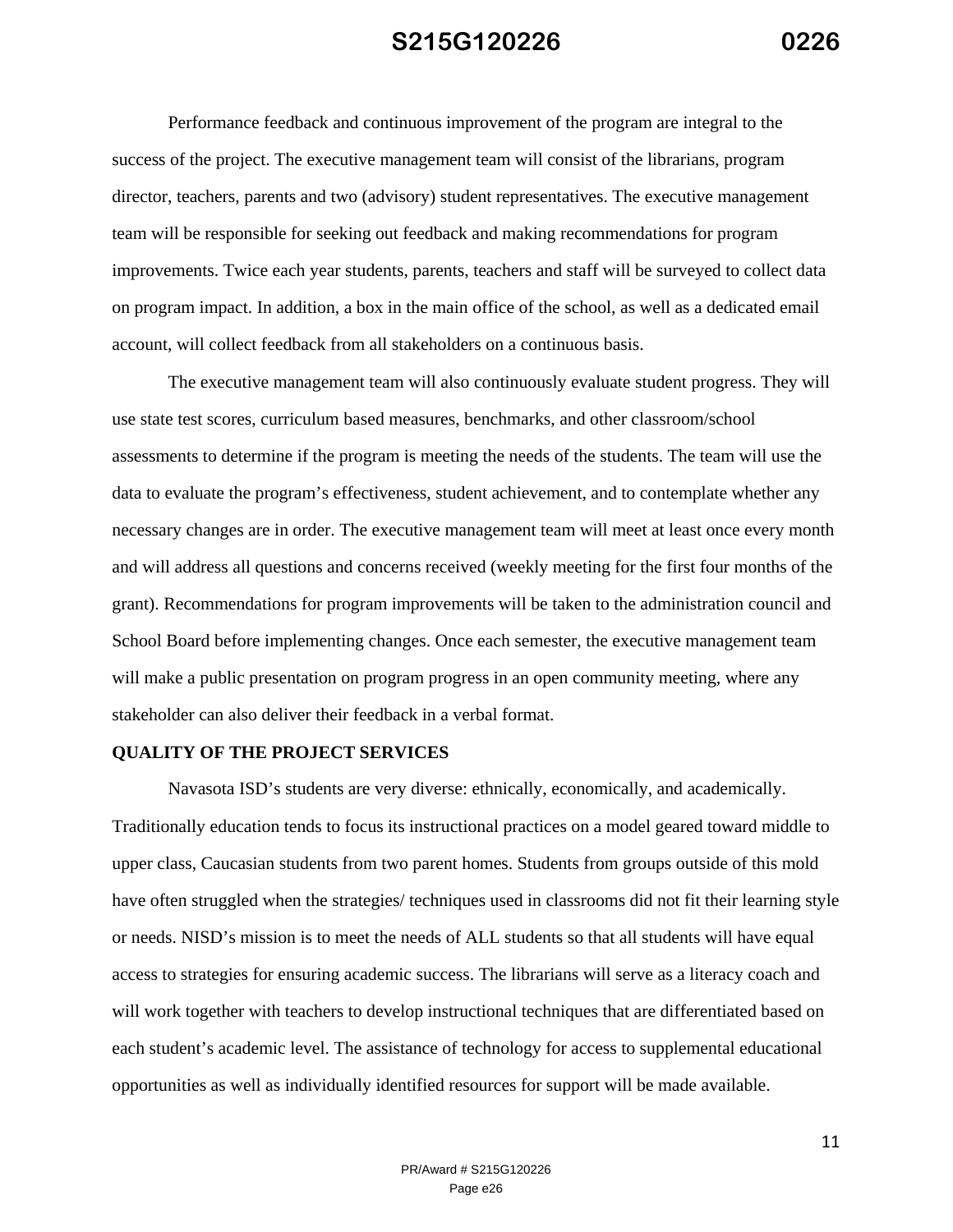Performance feedback and continuous improvement of the program are integral to the success of the project. The executive management team will consist of the librarians, program director, teachers, parents and two (advisory) student representatives. The executive management team will be responsible for seeking out feedback and making recommendations for program improvements. Twice each year students, parents, teachers and staff will be surveyed to collect data on program impact. In addition, a box in the main office of the school, as well as a dedicated email account, will collect feedback from all stakeholders on a continuous basis.

The executive management team will also continuously evaluate student progress. They will use state test scores, curriculum based measures, benchmarks, and other classroom/school assessments to determine if the program is meeting the needs of the students. The team will use the data to evaluate the program's effectiveness, student achievement, and to contemplate whether any necessary changes are in order. The executive management team will meet at least once every month and will address all questions and concerns received (weekly meeting for the first four months of the grant). Recommendations for program improvements will be taken to the administration council and School Board before implementing changes. Once each semester, the executive management team will make a public presentation on program progress in an open community meeting, where any stakeholder can also deliver their feedback in a verbal format.

#### **QUALITY OF THE PROJECT SERVICES**

Navasota ISD's students are very diverse: ethnically, economically, and academically. Traditionally education tends to focus its instructional practices on a model geared toward middle to upper class, Caucasian students from two parent homes. Students from groups outside of this mold have often struggled when the strategies/ techniques used in classrooms did not fit their learning style or needs. NISD's mission is to meet the needs of ALL students so that all students will have equal access to strategies for ensuring academic success. The librarians will serve as a literacy coach and will work together with teachers to develop instructional techniques that are differentiated based on each student's academic level. The assistance of technology for access to supplemental educational opportunities as well as individually identified resources for support will be made available.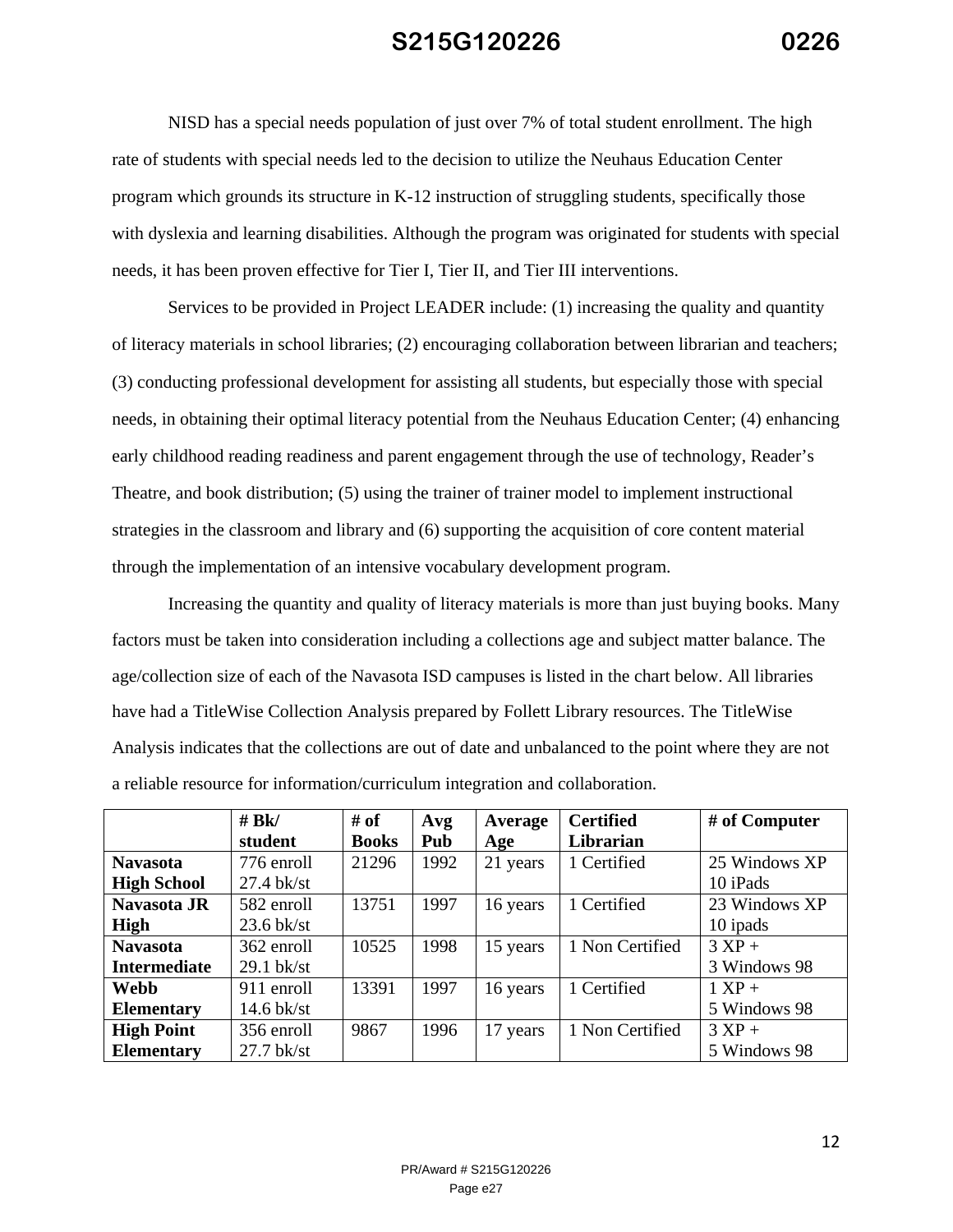NISD has a special needs population of just over 7% of total student enrollment. The high rate of students with special needs led to the decision to utilize the Neuhaus Education Center program which grounds its structure in K-12 instruction of struggling students, specifically those with dyslexia and learning disabilities. Although the program was originated for students with special needs, it has been proven effective for Tier I, Tier II, and Tier III interventions.

Services to be provided in Project LEADER include: (1) increasing the quality and quantity of literacy materials in school libraries; (2) encouraging collaboration between librarian and teachers; (3) conducting professional development for assisting all students, but especially those with special needs, in obtaining their optimal literacy potential from the Neuhaus Education Center; (4) enhancing early childhood reading readiness and parent engagement through the use of technology, Reader's Theatre, and book distribution; (5) using the trainer of trainer model to implement instructional strategies in the classroom and library and (6) supporting the acquisition of core content material through the implementation of an intensive vocabulary development program.

Increasing the quantity and quality of literacy materials is more than just buying books. Many factors must be taken into consideration including a collections age and subject matter balance. The age/collection size of each of the Navasota ISD campuses is listed in the chart below. All libraries have had a TitleWise Collection Analysis prepared by Follett Library resources. The TitleWise Analysis indicates that the collections are out of date and unbalanced to the point where they are not a reliable resource for information/curriculum integration and collaboration.

|                     | # BK/        | # of         | Avg  | Average  | <b>Certified</b> | # of Computer    |
|---------------------|--------------|--------------|------|----------|------------------|------------------|
|                     | student      | <b>Books</b> | Pub  | Age      | Librarian        |                  |
| <b>Navasota</b>     | 776 enroll   | 21296        | 1992 | 21 years | 1 Certified      | 25 Windows XP    |
| <b>High School</b>  | $27.4$ bk/st |              |      |          |                  | 10 iPads         |
| Navasota JR         | 582 enroll   | 13751        | 1997 | 16 years | 1 Certified      | 23 Windows XP    |
| High                | $23.6$ bk/st |              |      |          |                  | 10 ipads         |
| <b>Navasota</b>     | 362 enroll   | 10525        | 1998 | 15 years | 1 Non Certified  | $3 XP +$         |
| <b>Intermediate</b> | $29.1$ bk/st |              |      |          |                  | 3 Windows 98     |
| Webb                | 911 enroll   | 13391        | 1997 | 16 years | 1 Certified      | $1 \text{ XP} +$ |
| <b>Elementary</b>   | $14.6$ bk/st |              |      |          |                  | 5 Windows 98     |
| <b>High Point</b>   | 356 enroll   | 9867         | 1996 | 17 years | 1 Non Certified  | $3 XP +$         |
| <b>Elementary</b>   | $27.7$ bk/st |              |      |          |                  | 5 Windows 98     |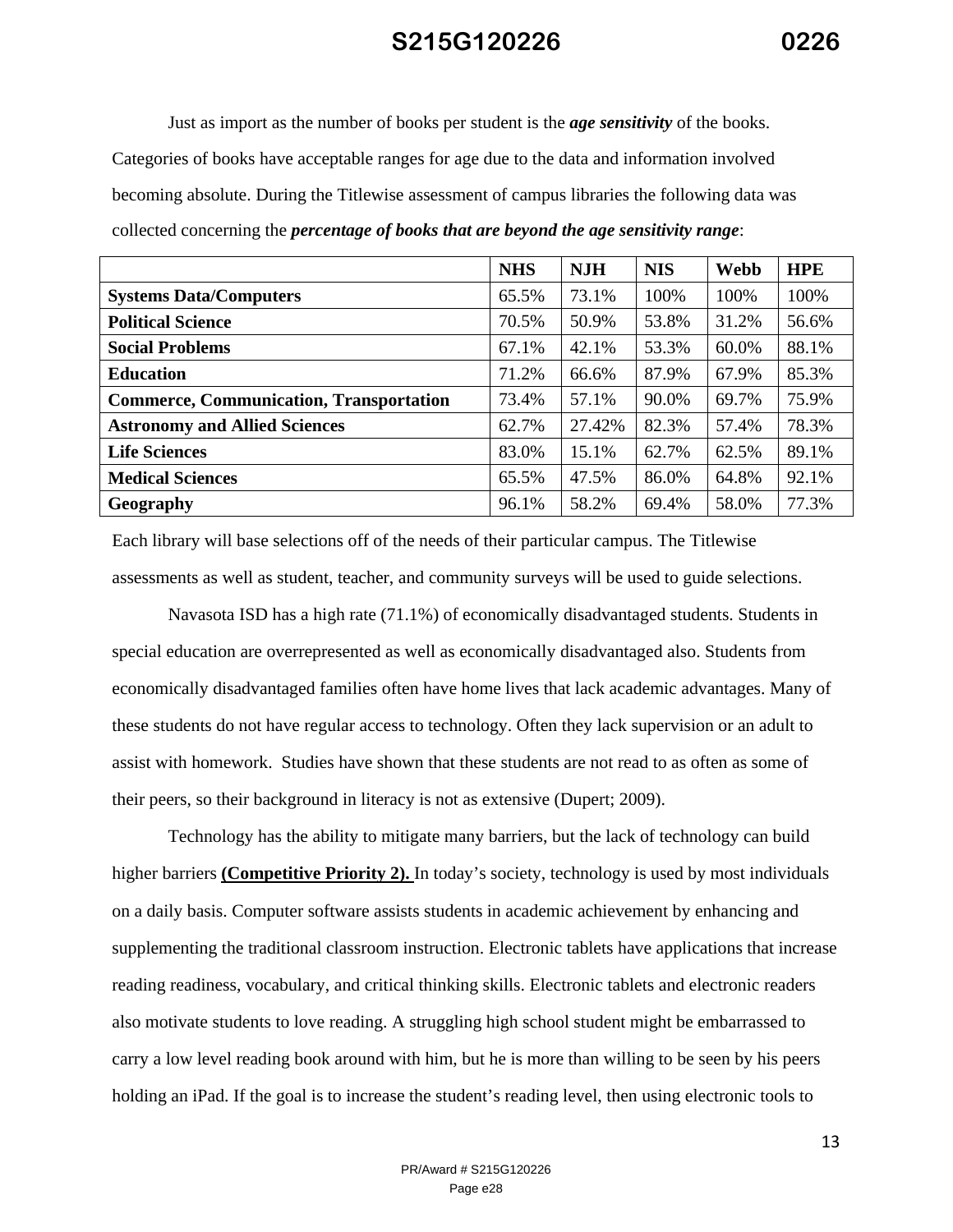Just as import as the number of books per student is the *age sensitivity* of the books. Categories of books have acceptable ranges for age due to the data and information involved becoming absolute. During the Titlewise assessment of campus libraries the following data was collected concerning the *percentage of books that are beyond the age sensitivity range*:

|                                                | <b>NHS</b> | <b>NJH</b> | <b>NIS</b> | Webb  | <b>HPE</b> |
|------------------------------------------------|------------|------------|------------|-------|------------|
| <b>Systems Data/Computers</b>                  | 65.5%      | 73.1%      | 100%       | 100%  | 100%       |
| <b>Political Science</b>                       | 70.5%      | 50.9%      | 53.8%      | 31.2% | 56.6%      |
| <b>Social Problems</b>                         | 67.1%      | 42.1%      | 53.3%      | 60.0% | 88.1%      |
| <b>Education</b>                               | 71.2%      | 66.6%      | 87.9%      | 67.9% | 85.3%      |
| <b>Commerce, Communication, Transportation</b> | 73.4%      | 57.1%      | 90.0%      | 69.7% | 75.9%      |
| <b>Astronomy and Allied Sciences</b>           | 62.7%      | 27.42%     | 82.3%      | 57.4% | 78.3%      |
| <b>Life Sciences</b>                           | 83.0%      | 15.1%      | 62.7%      | 62.5% | 89.1%      |
| <b>Medical Sciences</b>                        | 65.5%      | 47.5%      | 86.0%      | 64.8% | 92.1%      |
| Geography                                      | 96.1%      | 58.2%      | 69.4%      | 58.0% | 77.3%      |

Each library will base selections off of the needs of their particular campus. The Titlewise assessments as well as student, teacher, and community surveys will be used to guide selections.

 Navasota ISD has a high rate (71.1%) of economically disadvantaged students. Students in special education are overrepresented as well as economically disadvantaged also. Students from economically disadvantaged families often have home lives that lack academic advantages. Many of these students do not have regular access to technology. Often they lack supervision or an adult to assist with homework. Studies have shown that these students are not read to as often as some of their peers, so their background in literacy is not as extensive (Dupert; 2009).

 Technology has the ability to mitigate many barriers, but the lack of technology can build higher barriers **(Competitive Priority 2).** In today's society, technology is used by most individuals on a daily basis. Computer software assists students in academic achievement by enhancing and supplementing the traditional classroom instruction. Electronic tablets have applications that increase reading readiness, vocabulary, and critical thinking skills. Electronic tablets and electronic readers also motivate students to love reading. A struggling high school student might be embarrassed to carry a low level reading book around with him, but he is more than willing to be seen by his peers holding an iPad. If the goal is to increase the student's reading level, then using electronic tools to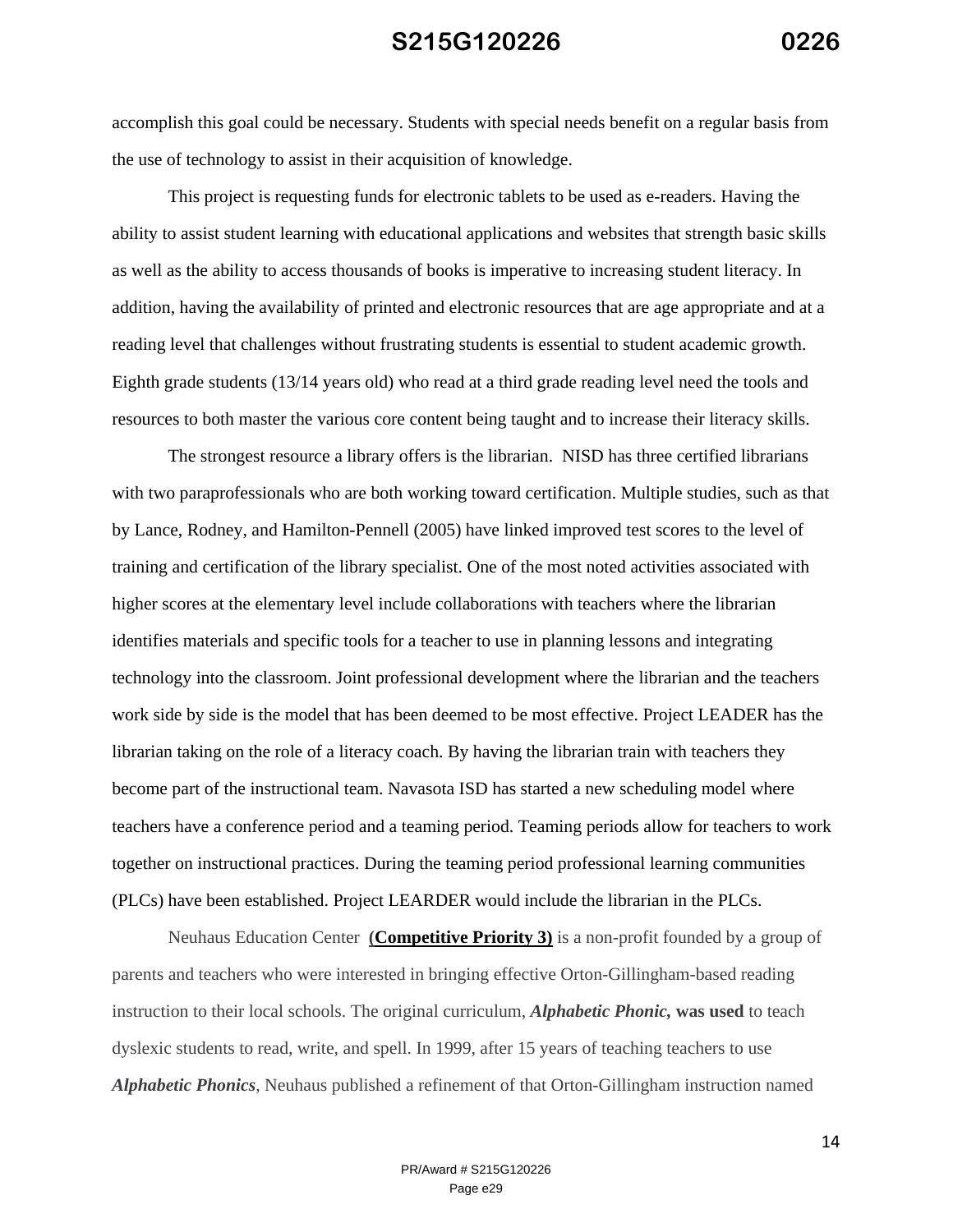accomplish this goal could be necessary. Students with special needs benefit on a regular basis from the use of technology to assist in their acquisition of knowledge.

 This project is requesting funds for electronic tablets to be used as e-readers. Having the ability to assist student learning with educational applications and websites that strength basic skills as well as the ability to access thousands of books is imperative to increasing student literacy. In addition, having the availability of printed and electronic resources that are age appropriate and at a reading level that challenges without frustrating students is essential to student academic growth. Eighth grade students (13/14 years old) who read at a third grade reading level need the tools and resources to both master the various core content being taught and to increase their literacy skills.

The strongest resource a library offers is the librarian. NISD has three certified librarians with two paraprofessionals who are both working toward certification. Multiple studies, such as that by Lance, Rodney, and Hamilton-Pennell (2005) have linked improved test scores to the level of training and certification of the library specialist. One of the most noted activities associated with higher scores at the elementary level include collaborations with teachers where the librarian identifies materials and specific tools for a teacher to use in planning lessons and integrating technology into the classroom. Joint professional development where the librarian and the teachers work side by side is the model that has been deemed to be most effective. Project LEADER has the librarian taking on the role of a literacy coach. By having the librarian train with teachers they become part of the instructional team. Navasota ISD has started a new scheduling model where teachers have a conference period and a teaming period. Teaming periods allow for teachers to work together on instructional practices. During the teaming period professional learning communities (PLCs) have been established. Project LEARDER would include the librarian in the PLCs.

 Neuhaus Education Center **(Competitive Priority 3)** is a non-profit founded by a group of parents and teachers who were interested in bringing effective Orton-Gillingham-based reading instruction to their local schools. The original curriculum, *Alphabetic Phonic,* **was used** to teach dyslexic students to read, write, and spell. In 1999, after 15 years of teaching teachers to use *Alphabetic Phonics*, Neuhaus published a refinement of that Orton-Gillingham instruction named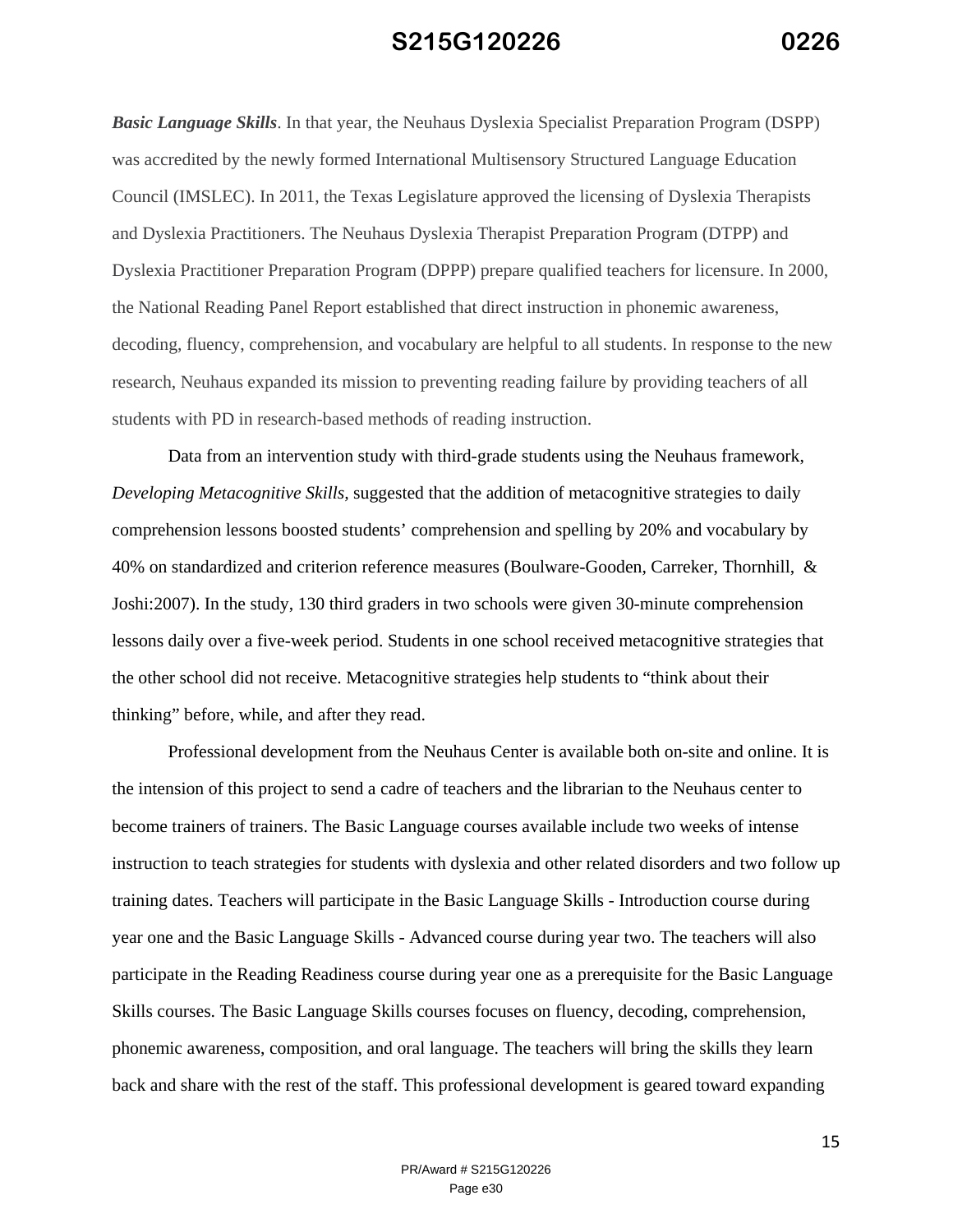*Basic Language Skills*. In that year, the Neuhaus Dyslexia Specialist Preparation Program (DSPP) was accredited by the newly formed International Multisensory Structured Language Education Council (IMSLEC). In 2011, the Texas Legislature approved the licensing of Dyslexia Therapists and Dyslexia Practitioners. The Neuhaus Dyslexia Therapist Preparation Program (DTPP) and Dyslexia Practitioner Preparation Program (DPPP) prepare qualified teachers for licensure. In 2000, the National Reading Panel Report established that direct instruction in phonemic awareness, decoding, fluency, comprehension, and vocabulary are helpful to all students. In response to the new research, Neuhaus expanded its mission to preventing reading failure by providing teachers of all students with PD in research-based methods of reading instruction.

 Data from an intervention study with third-grade students using the Neuhaus framework, *Developing Metacognitive Skills,* suggested that the addition of metacognitive strategies to daily comprehension lessons boosted students' comprehension and spelling by 20% and vocabulary by 40% on standardized and criterion reference measures (Boulware-Gooden, Carreker, Thornhill, & Joshi:2007). In the study, 130 third graders in two schools were given 30-minute comprehension lessons daily over a five-week period. Students in one school received metacognitive strategies that the other school did not receive. Metacognitive strategies help students to "think about their thinking" before, while, and after they read.

 Professional development from the Neuhaus Center is available both on-site and online. It is the intension of this project to send a cadre of teachers and the librarian to the Neuhaus center to become trainers of trainers. The Basic Language courses available include two weeks of intense instruction to teach strategies for students with dyslexia and other related disorders and two follow up training dates. Teachers will participate in the Basic Language Skills - Introduction course during year one and the Basic Language Skills - Advanced course during year two. The teachers will also participate in the Reading Readiness course during year one as a prerequisite for the Basic Language Skills courses. The Basic Language Skills courses focuses on fluency, decoding, comprehension, phonemic awareness, composition, and oral language. The teachers will bring the skills they learn back and share with the rest of the staff. This professional development is geared toward expanding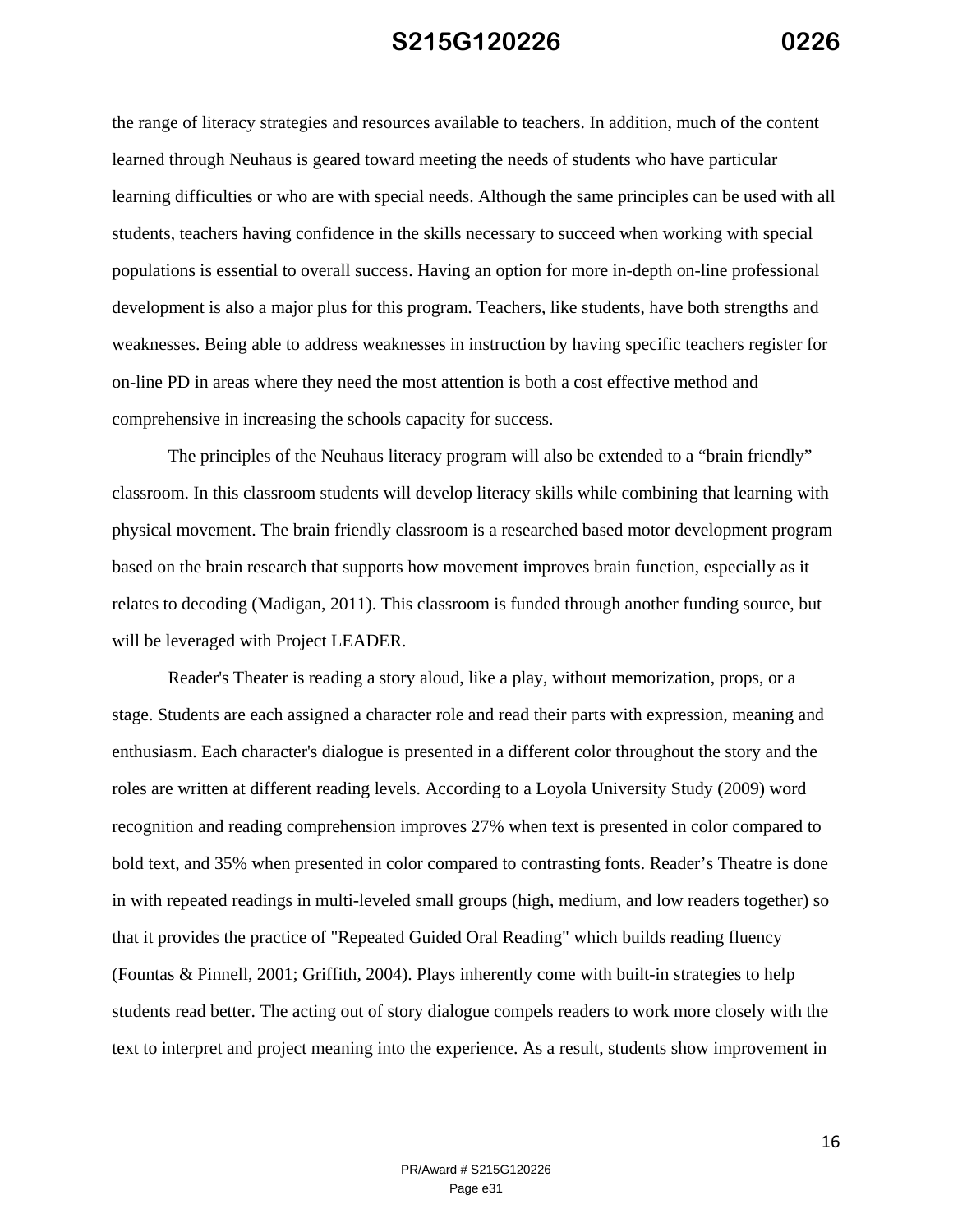the range of literacy strategies and resources available to teachers. In addition, much of the content learned through Neuhaus is geared toward meeting the needs of students who have particular learning difficulties or who are with special needs. Although the same principles can be used with all students, teachers having confidence in the skills necessary to succeed when working with special populations is essential to overall success. Having an option for more in-depth on-line professional development is also a major plus for this program. Teachers, like students, have both strengths and weaknesses. Being able to address weaknesses in instruction by having specific teachers register for on-line PD in areas where they need the most attention is both a cost effective method and comprehensive in increasing the schools capacity for success.

 The principles of the Neuhaus literacy program will also be extended to a "brain friendly" classroom. In this classroom students will develop literacy skills while combining that learning with physical movement. The brain friendly classroom is a researched based motor development program based on the brain research that supports how movement improves brain function, especially as it relates to decoding (Madigan, 2011). This classroom is funded through another funding source, but will be leveraged with Project LEADER.

Reader's Theater is reading a story aloud, like a play, without memorization, props, or a stage. Students are each assigned a character role and read their parts with expression, meaning and enthusiasm. Each character's dialogue is presented in a different color throughout the story and the roles are written at different reading levels. According to a Loyola University Study (2009) word recognition and reading comprehension improves 27% when text is presented in color compared to bold text, and 35% when presented in color compared to contrasting fonts. Reader's Theatre is done in with repeated readings in multi-leveled small groups (high, medium, and low readers together) so that it provides the practice of "Repeated Guided Oral Reading" which builds reading fluency (Fountas & Pinnell, 2001; Griffith, 2004). Plays inherently come with built-in strategies to help students read better. The acting out of story dialogue compels readers to work more closely with the text to interpret and project meaning into the experience. As a result, students show improvement in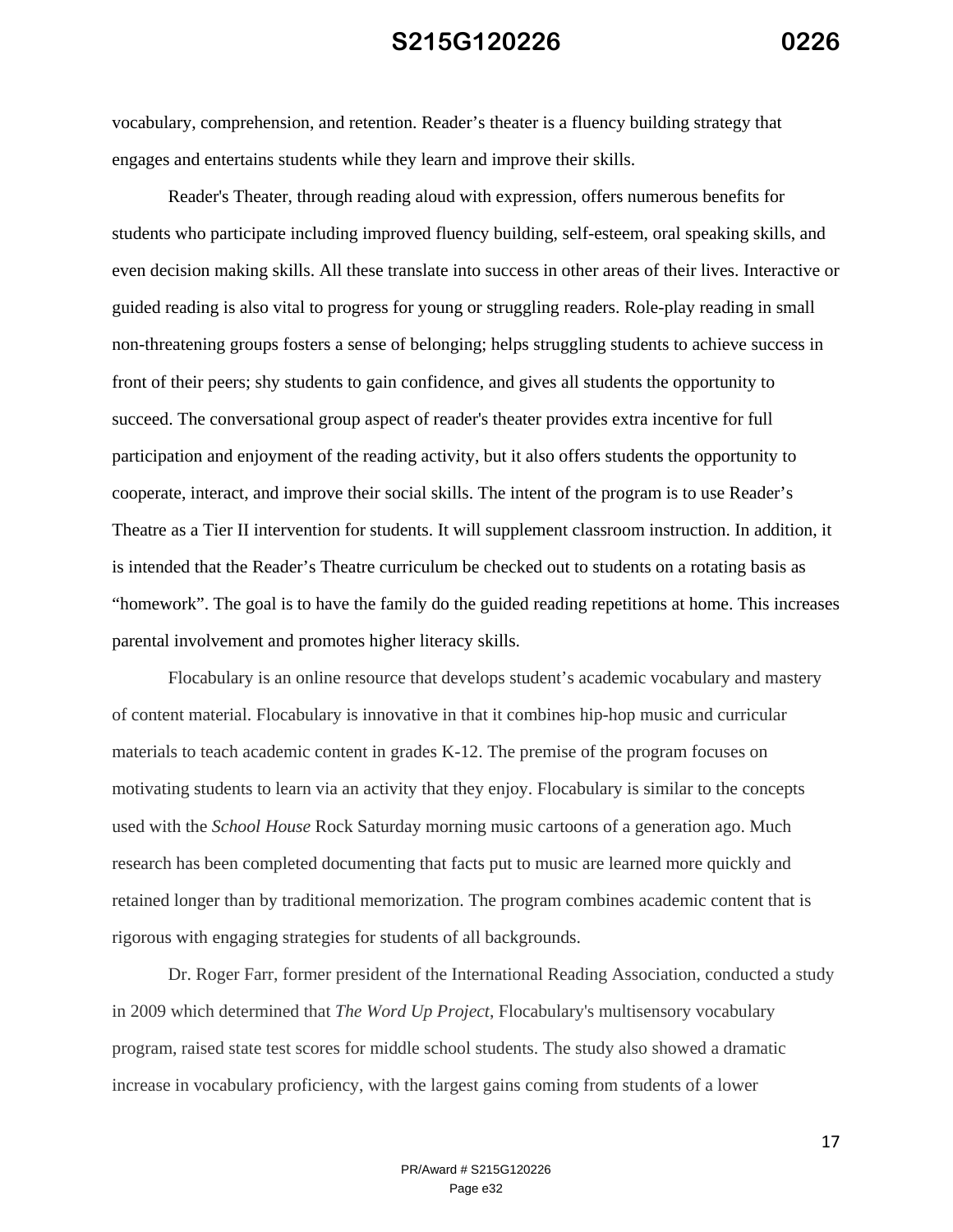vocabulary, comprehension, and retention. Reader's theater is a fluency building strategy that engages and entertains students while they learn and improve their skills.

 Reader's Theater, through reading aloud with expression, offers numerous benefits for students who participate including improved fluency building, self-esteem, oral speaking skills, and even decision making skills. All these translate into success in other areas of their lives. Interactive or guided reading is also vital to progress for young or struggling readers. Role-play reading in small non-threatening groups fosters a sense of belonging; helps struggling students to achieve success in front of their peers; shy students to gain confidence, and gives all students the opportunity to succeed. The conversational group aspect of reader's theater provides extra incentive for full participation and enjoyment of the reading activity, but it also offers students the opportunity to cooperate, interact, and improve their social skills. The intent of the program is to use Reader's Theatre as a Tier II intervention for students. It will supplement classroom instruction. In addition, it is intended that the Reader's Theatre curriculum be checked out to students on a rotating basis as "homework". The goal is to have the family do the guided reading repetitions at home. This increases parental involvement and promotes higher literacy skills.

Flocabulary is an online resource that develops student's academic vocabulary and mastery of content material. Flocabulary is innovative in that it combines hip-hop music and curricular materials to teach academic content in grades K-12. The premise of the program focuses on motivating students to learn via an activity that they enjoy. Flocabulary is similar to the concepts used with the *School House* Rock Saturday morning music cartoons of a generation ago. Much research has been completed documenting that facts put to music are learned more quickly and retained longer than by traditional memorization. The program combines academic content that is rigorous with engaging strategies for students of all backgrounds.

Dr. Roger Farr, former president of the International Reading Association, conducted a study in 2009 which determined that *The Word Up Project*, Flocabulary's multisensory vocabulary program, raised state test scores for middle school students. The study also showed a dramatic increase in vocabulary proficiency, with the largest gains coming from students of a lower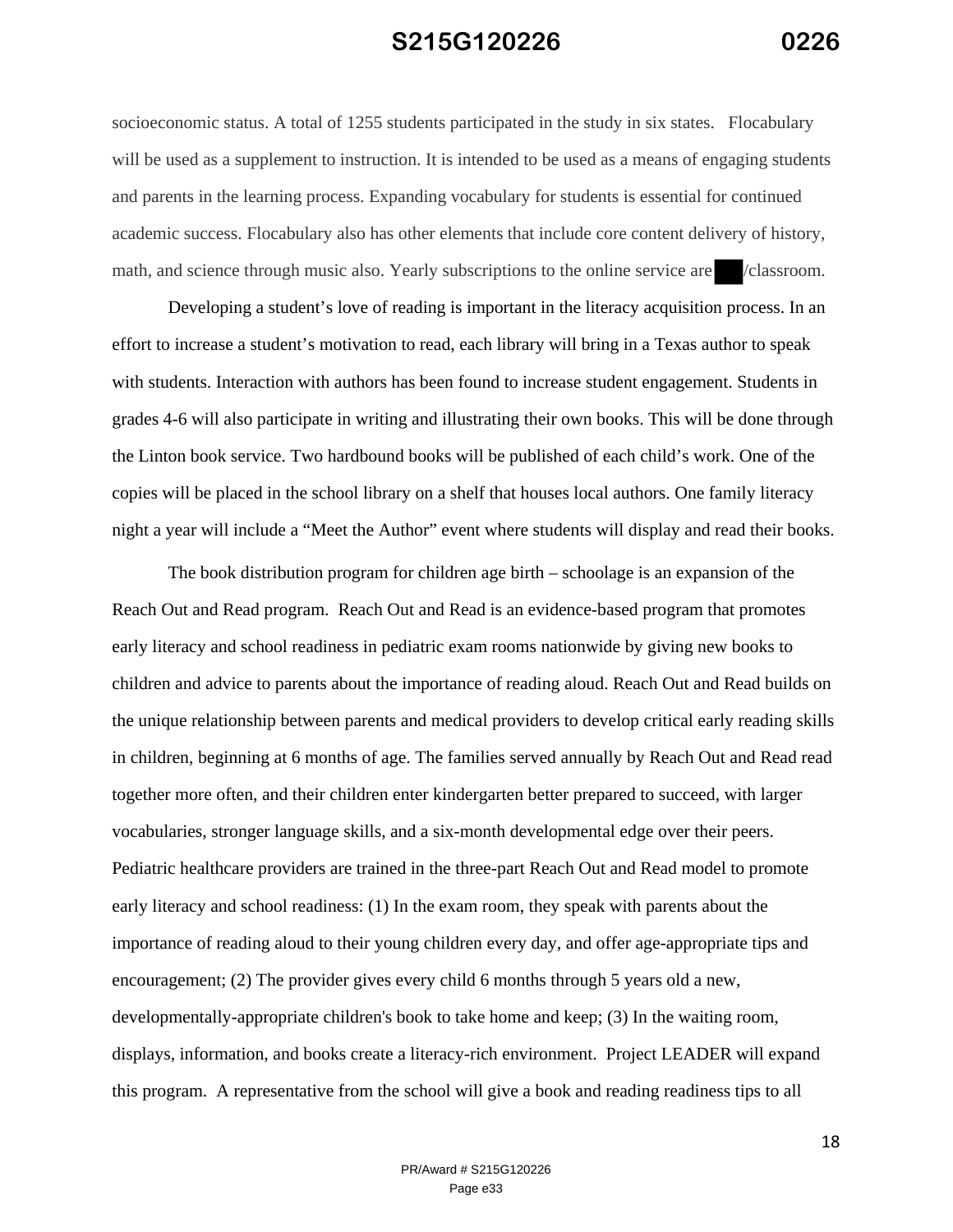socioeconomic status. A total of 1255 students participated in the study in six states. Flocabulary will be used as a supplement to instruction. It is intended to be used as a means of engaging students and parents in the learning process. Expanding vocabulary for students is essential for continued academic success. Flocabulary also has other elements that include core content delivery of history, math, and science through music also. Yearly subscriptions to the online service are //classroom.

Developing a student's love of reading is important in the literacy acquisition process. In an effort to increase a student's motivation to read, each library will bring in a Texas author to speak with students. Interaction with authors has been found to increase student engagement. Students in grades 4-6 will also participate in writing and illustrating their own books. This will be done through the Linton book service. Two hardbound books will be published of each child's work. One of the copies will be placed in the school library on a shelf that houses local authors. One family literacy night a year will include a "Meet the Author" event where students will display and read their books.

The book distribution program for children age birth – schoolage is an expansion of the Reach Out and Read program. Reach Out and Read is an evidence-based program that promotes early literacy and school readiness in pediatric exam rooms nationwide by giving new books to children and advice to parents about the importance of reading aloud. Reach Out and Read builds on the unique relationship between parents and medical providers to develop critical early reading skills in children, beginning at 6 months of age. The families served annually by Reach Out and Read read together more often, and their children enter kindergarten better prepared to succeed, with larger vocabularies, stronger language skills, and a six-month developmental edge over their peers. Pediatric healthcare providers are trained in the three-part Reach Out and Read model to promote early literacy and school readiness: (1) In the exam room, they speak with parents about the importance of reading aloud to their young children every day, and offer age-appropriate tips and encouragement; (2) The provider gives every child 6 months through 5 years old a new, developmentally-appropriate children's book to take home and keep; (3) In the waiting room, displays, information, and books create a literacy-rich environment. Project LEADER will expand this program. A representative from the school will give a book and reading readiness tips to all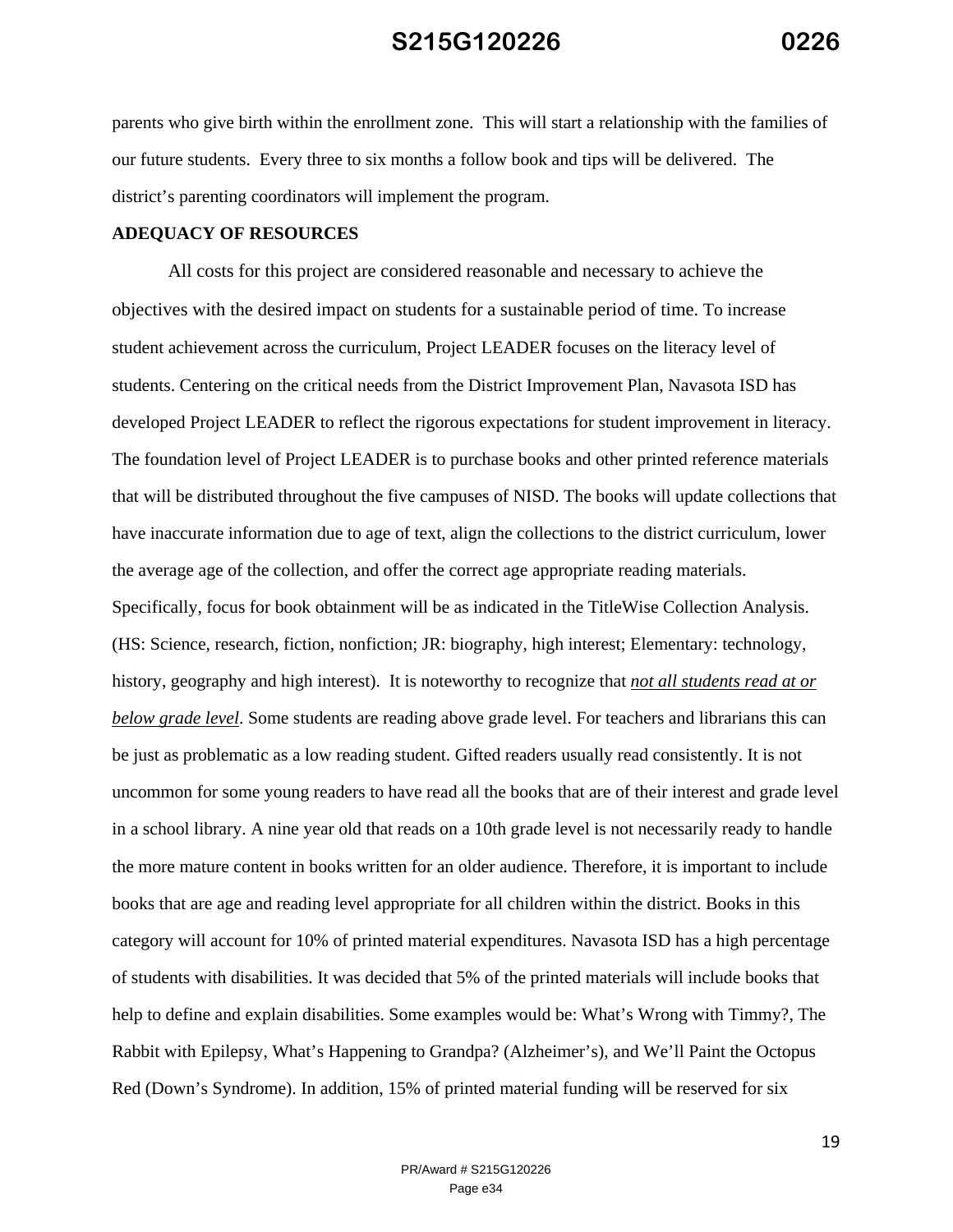parents who give birth within the enrollment zone. This will start a relationship with the families of our future students. Every three to six months a follow book and tips will be delivered. The district's parenting coordinators will implement the program.

#### **ADEQUACY OF RESOURCES**

All costs for this project are considered reasonable and necessary to achieve the objectives with the desired impact on students for a sustainable period of time. To increase student achievement across the curriculum, Project LEADER focuses on the literacy level of students. Centering on the critical needs from the District Improvement Plan, Navasota ISD has developed Project LEADER to reflect the rigorous expectations for student improvement in literacy. The foundation level of Project LEADER is to purchase books and other printed reference materials that will be distributed throughout the five campuses of NISD. The books will update collections that have inaccurate information due to age of text, align the collections to the district curriculum, lower the average age of the collection, and offer the correct age appropriate reading materials. Specifically, focus for book obtainment will be as indicated in the TitleWise Collection Analysis. (HS: Science, research, fiction, nonfiction; JR: biography, high interest; Elementary: technology, history, geography and high interest). It is noteworthy to recognize that *not all students read at or below grade level*. Some students are reading above grade level. For teachers and librarians this can be just as problematic as a low reading student. Gifted readers usually read consistently. It is not uncommon for some young readers to have read all the books that are of their interest and grade level in a school library. A nine year old that reads on a 10th grade level is not necessarily ready to handle the more mature content in books written for an older audience. Therefore, it is important to include books that are age and reading level appropriate for all children within the district. Books in this category will account for 10% of printed material expenditures. Navasota ISD has a high percentage of students with disabilities. It was decided that 5% of the printed materials will include books that help to define and explain disabilities. Some examples would be: What's Wrong with Timmy?, The Rabbit with Epilepsy, What's Happening to Grandpa? (Alzheimer's), and We'll Paint the Octopus Red (Down's Syndrome). In addition, 15% of printed material funding will be reserved for six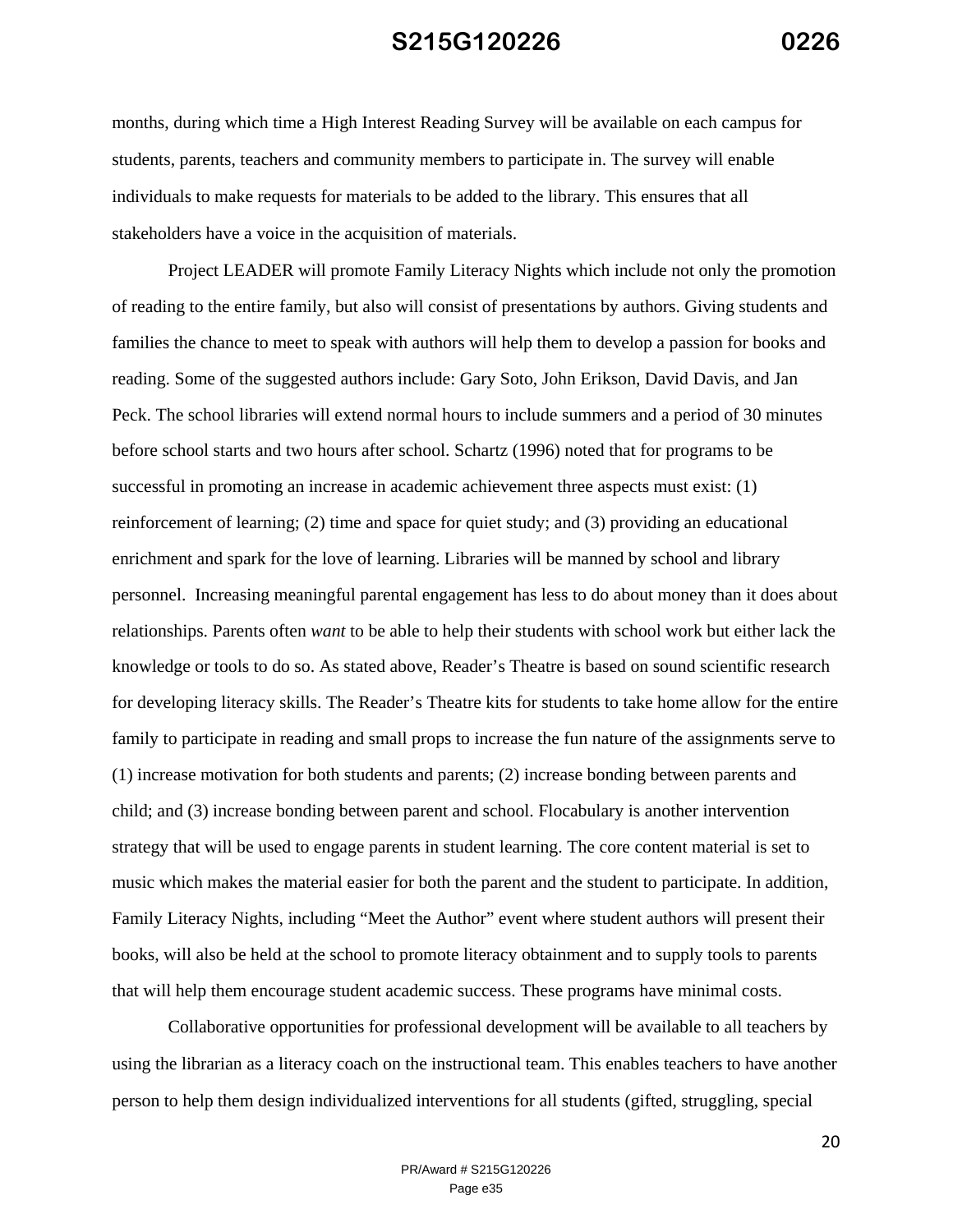months, during which time a High Interest Reading Survey will be available on each campus for students, parents, teachers and community members to participate in. The survey will enable individuals to make requests for materials to be added to the library. This ensures that all stakeholders have a voice in the acquisition of materials.

Project LEADER will promote Family Literacy Nights which include not only the promotion of reading to the entire family, but also will consist of presentations by authors. Giving students and families the chance to meet to speak with authors will help them to develop a passion for books and reading. Some of the suggested authors include: Gary Soto, John Erikson, David Davis, and Jan Peck. The school libraries will extend normal hours to include summers and a period of 30 minutes before school starts and two hours after school. Schartz (1996) noted that for programs to be successful in promoting an increase in academic achievement three aspects must exist: (1) reinforcement of learning; (2) time and space for quiet study; and (3) providing an educational enrichment and spark for the love of learning. Libraries will be manned by school and library personnel. Increasing meaningful parental engagement has less to do about money than it does about relationships. Parents often *want* to be able to help their students with school work but either lack the knowledge or tools to do so. As stated above, Reader's Theatre is based on sound scientific research for developing literacy skills. The Reader's Theatre kits for students to take home allow for the entire family to participate in reading and small props to increase the fun nature of the assignments serve to (1) increase motivation for both students and parents; (2) increase bonding between parents and child; and (3) increase bonding between parent and school. Flocabulary is another intervention strategy that will be used to engage parents in student learning. The core content material is set to music which makes the material easier for both the parent and the student to participate. In addition, Family Literacy Nights, including "Meet the Author" event where student authors will present their books, will also be held at the school to promote literacy obtainment and to supply tools to parents that will help them encourage student academic success. These programs have minimal costs.

 Collaborative opportunities for professional development will be available to all teachers by using the librarian as a literacy coach on the instructional team. This enables teachers to have another person to help them design individualized interventions for all students (gifted, struggling, special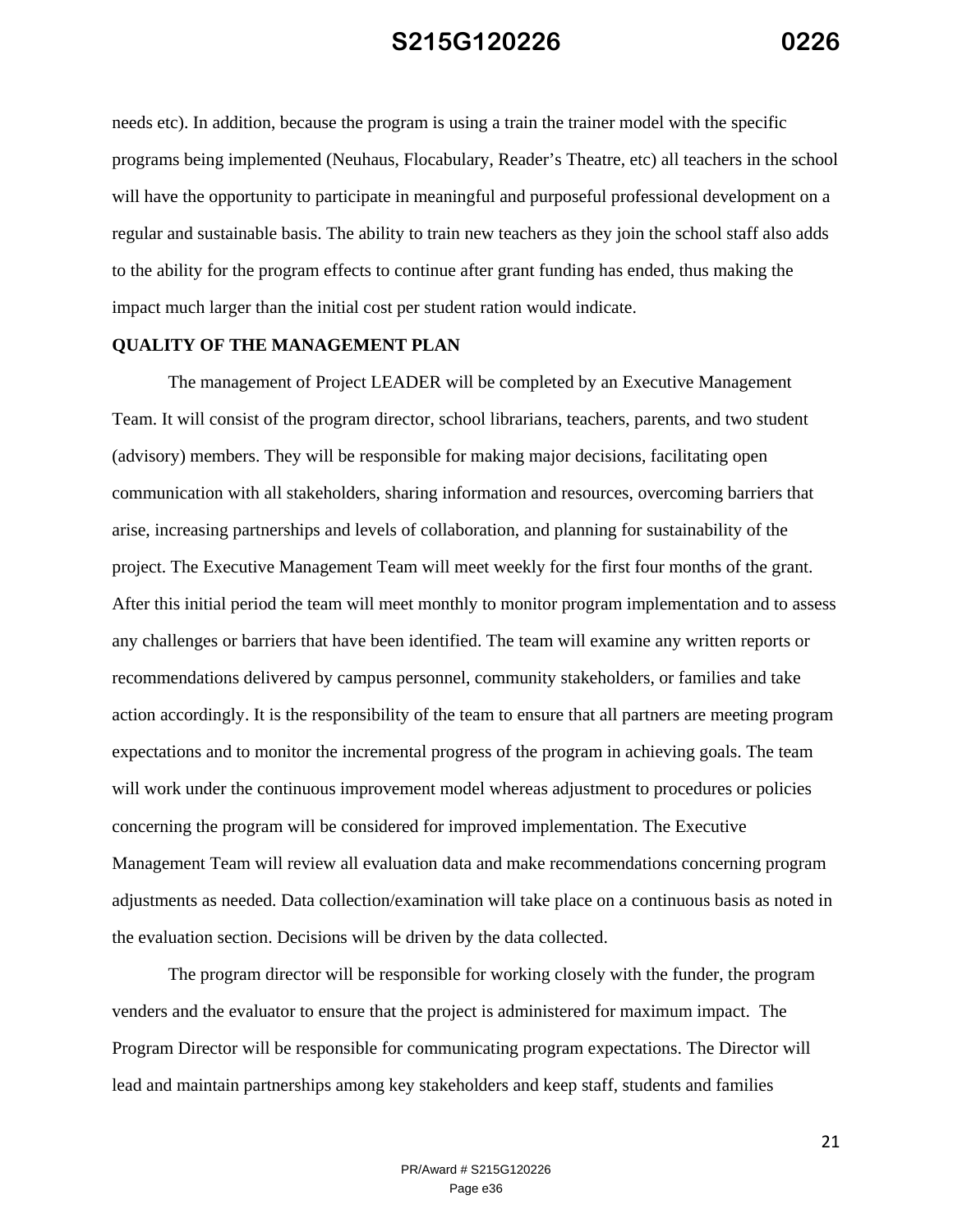needs etc). In addition, because the program is using a train the trainer model with the specific programs being implemented (Neuhaus, Flocabulary, Reader's Theatre, etc) all teachers in the school will have the opportunity to participate in meaningful and purposeful professional development on a regular and sustainable basis. The ability to train new teachers as they join the school staff also adds to the ability for the program effects to continue after grant funding has ended, thus making the impact much larger than the initial cost per student ration would indicate.

#### **QUALITY OF THE MANAGEMENT PLAN**

The management of Project LEADER will be completed by an Executive Management Team. It will consist of the program director, school librarians, teachers, parents, and two student (advisory) members. They will be responsible for making major decisions, facilitating open communication with all stakeholders, sharing information and resources, overcoming barriers that arise, increasing partnerships and levels of collaboration, and planning for sustainability of the project. The Executive Management Team will meet weekly for the first four months of the grant. After this initial period the team will meet monthly to monitor program implementation and to assess any challenges or barriers that have been identified. The team will examine any written reports or recommendations delivered by campus personnel, community stakeholders, or families and take action accordingly. It is the responsibility of the team to ensure that all partners are meeting program expectations and to monitor the incremental progress of the program in achieving goals. The team will work under the continuous improvement model whereas adjustment to procedures or policies concerning the program will be considered for improved implementation. The Executive Management Team will review all evaluation data and make recommendations concerning program adjustments as needed. Data collection/examination will take place on a continuous basis as noted in the evaluation section. Decisions will be driven by the data collected.

The program director will be responsible for working closely with the funder, the program venders and the evaluator to ensure that the project is administered for maximum impact. The Program Director will be responsible for communicating program expectations. The Director will lead and maintain partnerships among key stakeholders and keep staff, students and families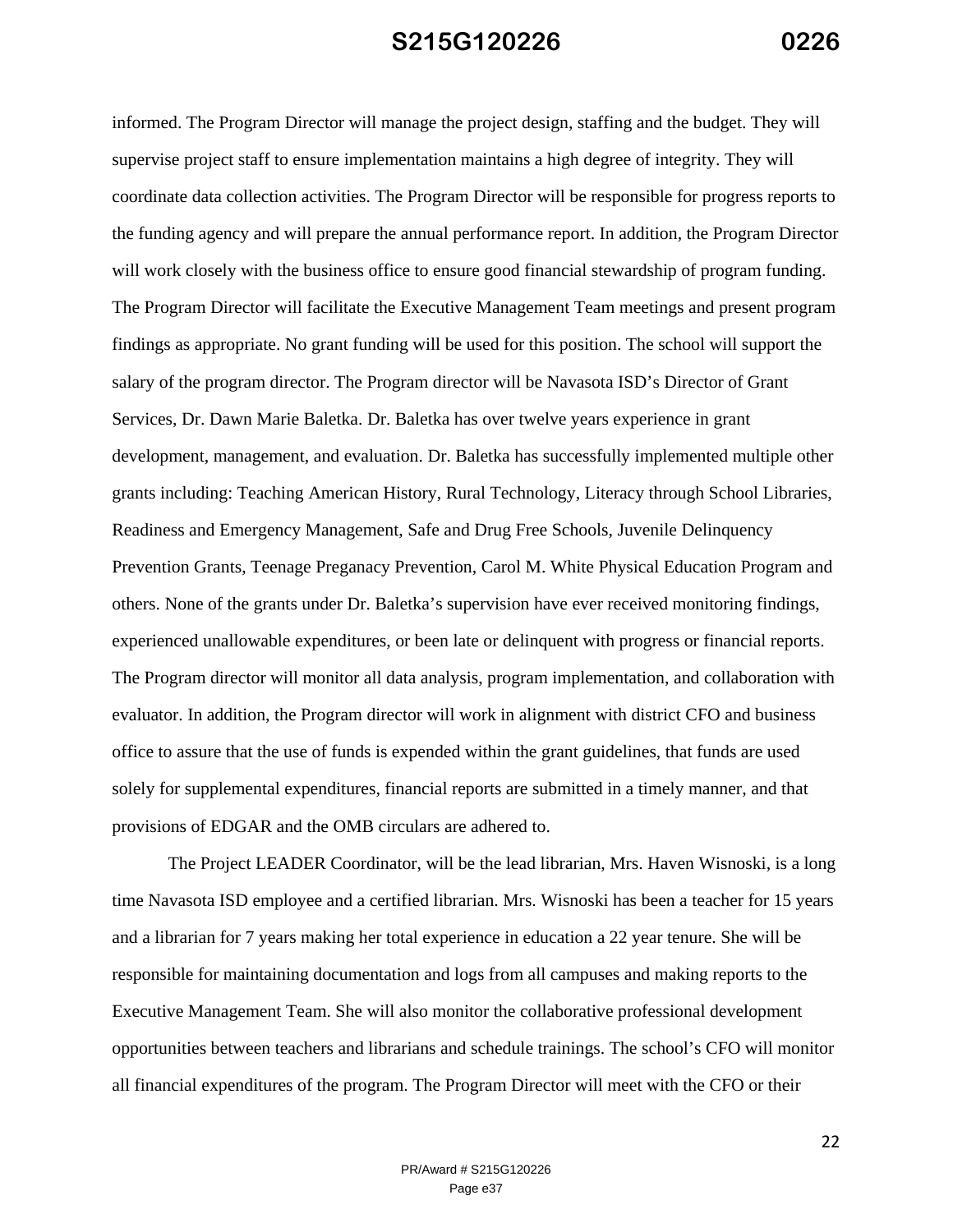informed. The Program Director will manage the project design, staffing and the budget. They will supervise project staff to ensure implementation maintains a high degree of integrity. They will coordinate data collection activities. The Program Director will be responsible for progress reports to the funding agency and will prepare the annual performance report. In addition, the Program Director will work closely with the business office to ensure good financial stewardship of program funding. The Program Director will facilitate the Executive Management Team meetings and present program findings as appropriate. No grant funding will be used for this position. The school will support the salary of the program director. The Program director will be Navasota ISD's Director of Grant Services, Dr. Dawn Marie Baletka. Dr. Baletka has over twelve years experience in grant development, management, and evaluation. Dr. Baletka has successfully implemented multiple other grants including: Teaching American History, Rural Technology, Literacy through School Libraries, Readiness and Emergency Management, Safe and Drug Free Schools, Juvenile Delinquency Prevention Grants, Teenage Preganacy Prevention, Carol M. White Physical Education Program and others. None of the grants under Dr. Baletka's supervision have ever received monitoring findings, experienced unallowable expenditures, or been late or delinquent with progress or financial reports. The Program director will monitor all data analysis, program implementation, and collaboration with evaluator. In addition, the Program director will work in alignment with district CFO and business office to assure that the use of funds is expended within the grant guidelines, that funds are used solely for supplemental expenditures, financial reports are submitted in a timely manner, and that provisions of EDGAR and the OMB circulars are adhered to.

The Project LEADER Coordinator, will be the lead librarian, Mrs. Haven Wisnoski, is a long time Navasota ISD employee and a certified librarian. Mrs. Wisnoski has been a teacher for 15 years and a librarian for 7 years making her total experience in education a 22 year tenure. She will be responsible for maintaining documentation and logs from all campuses and making reports to the Executive Management Team. She will also monitor the collaborative professional development opportunities between teachers and librarians and schedule trainings. The school's CFO will monitor all financial expenditures of the program. The Program Director will meet with the CFO or their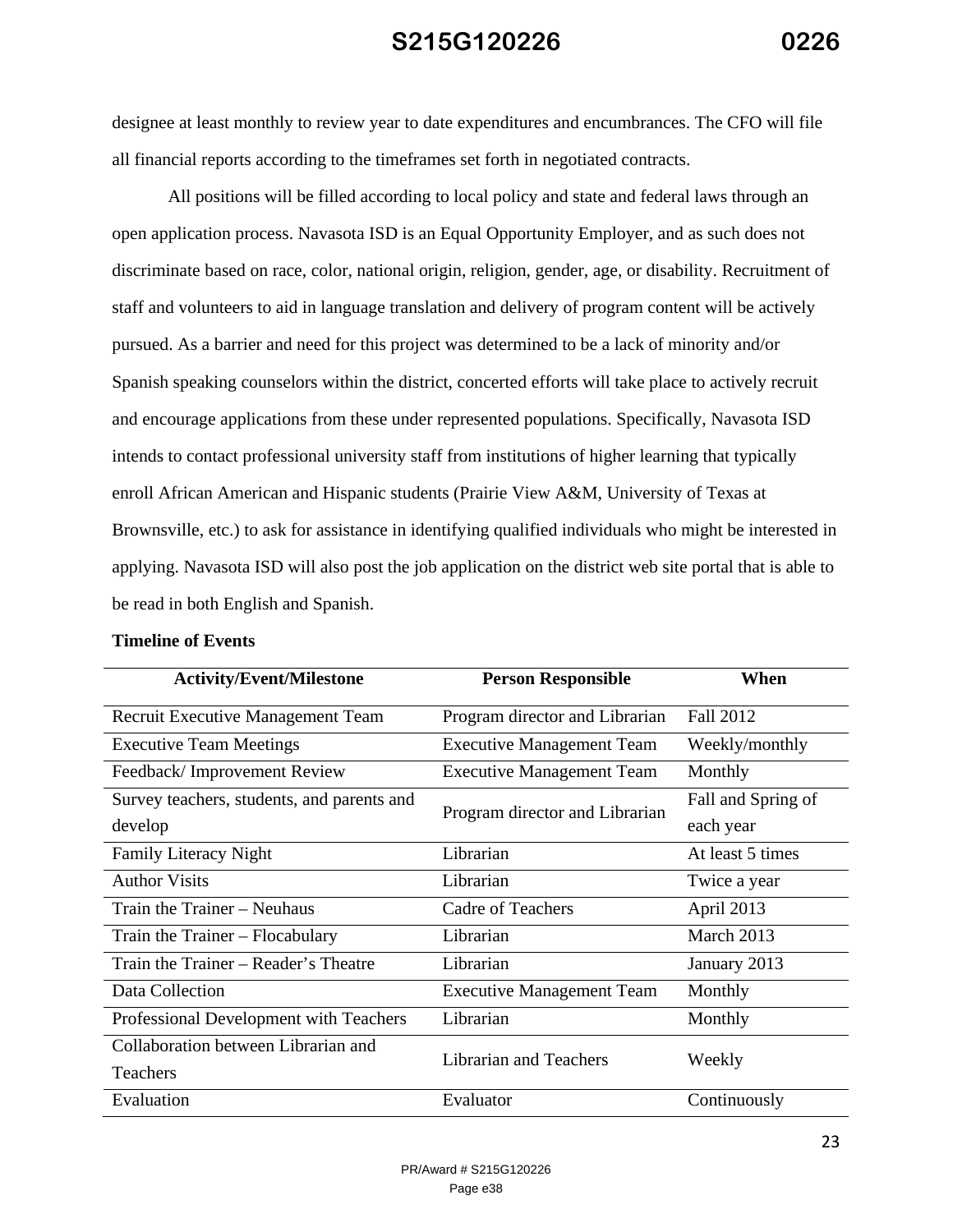designee at least monthly to review year to date expenditures and encumbrances. The CFO will file all financial reports according to the timeframes set forth in negotiated contracts.

All positions will be filled according to local policy and state and federal laws through an open application process. Navasota ISD is an Equal Opportunity Employer, and as such does not discriminate based on race, color, national origin, religion, gender, age, or disability. Recruitment of staff and volunteers to aid in language translation and delivery of program content will be actively pursued. As a barrier and need for this project was determined to be a lack of minority and/or Spanish speaking counselors within the district, concerted efforts will take place to actively recruit and encourage applications from these under represented populations. Specifically, Navasota ISD intends to contact professional university staff from institutions of higher learning that typically enroll African American and Hispanic students (Prairie View A&M, University of Texas at Brownsville, etc.) to ask for assistance in identifying qualified individuals who might be interested in applying. Navasota ISD will also post the job application on the district web site portal that is able to be read in both English and Spanish.

| <b>Activity/Event/Milestone</b>            | <b>Person Responsible</b>        | When               |
|--------------------------------------------|----------------------------------|--------------------|
| Recruit Executive Management Team          | Program director and Librarian   | Fall 2012          |
| <b>Executive Team Meetings</b>             | <b>Executive Management Team</b> | Weekly/monthly     |
| Feedback/Improvement Review                | <b>Executive Management Team</b> | Monthly            |
| Survey teachers, students, and parents and | Program director and Librarian   | Fall and Spring of |
| develop                                    |                                  | each year          |
| <b>Family Literacy Night</b>               | Librarian                        | At least 5 times   |
| <b>Author Visits</b>                       | Librarian                        | Twice a year       |
| Train the Trainer – Neuhaus                | <b>Cadre of Teachers</b>         | April 2013         |
| Train the Trainer - Flocabulary            | Librarian                        | March 2013         |
| Train the Trainer – Reader's Theatre       | Librarian                        | January 2013       |
| Data Collection                            | <b>Executive Management Team</b> | Monthly            |
| Professional Development with Teachers     | Librarian                        | Monthly            |
| Collaboration between Librarian and        | <b>Librarian and Teachers</b>    | Weekly             |
| Teachers                                   |                                  |                    |
| Evaluation                                 | Evaluator                        | Continuously       |

#### **Timeline of Events**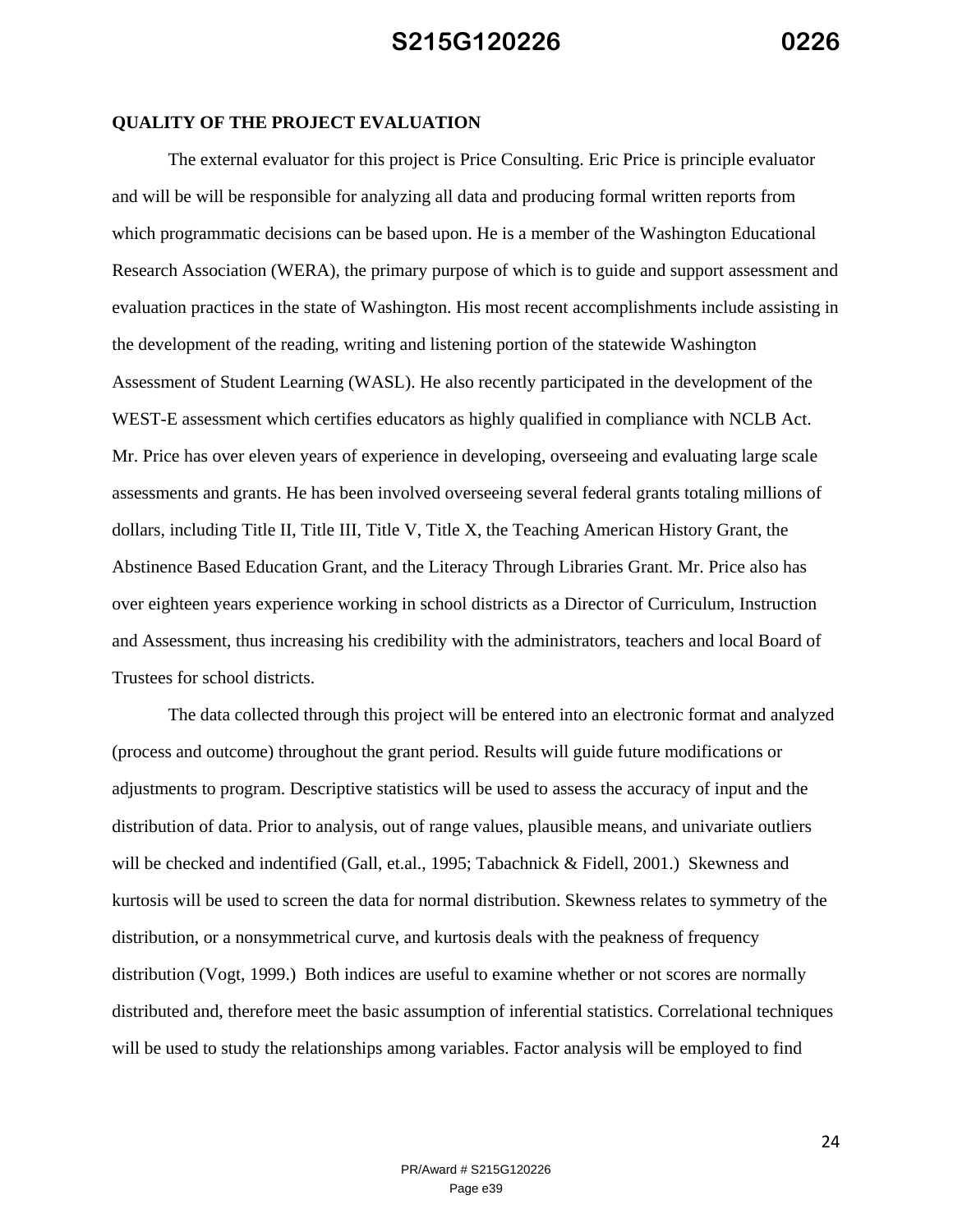#### **QUALITY OF THE PROJECT EVALUATION**

The external evaluator for this project is Price Consulting. Eric Price is principle evaluator and will be will be responsible for analyzing all data and producing formal written reports from which programmatic decisions can be based upon. He is a member of the Washington Educational Research Association (WERA), the primary purpose of which is to guide and support assessment and evaluation practices in the state of Washington. His most recent accomplishments include assisting in the development of the reading, writing and listening portion of the statewide Washington Assessment of Student Learning (WASL). He also recently participated in the development of the WEST-E assessment which certifies educators as highly qualified in compliance with NCLB Act. Mr. Price has over eleven years of experience in developing, overseeing and evaluating large scale assessments and grants. He has been involved overseeing several federal grants totaling millions of dollars, including Title II, Title III, Title V, Title X, the Teaching American History Grant, the Abstinence Based Education Grant, and the Literacy Through Libraries Grant. Mr. Price also has over eighteen years experience working in school districts as a Director of Curriculum, Instruction and Assessment, thus increasing his credibility with the administrators, teachers and local Board of Trustees for school districts.

The data collected through this project will be entered into an electronic format and analyzed (process and outcome) throughout the grant period. Results will guide future modifications or adjustments to program. Descriptive statistics will be used to assess the accuracy of input and the distribution of data. Prior to analysis, out of range values, plausible means, and univariate outliers will be checked and indentified (Gall, et.al., 1995; Tabachnick & Fidell, 2001.) Skewness and kurtosis will be used to screen the data for normal distribution. Skewness relates to symmetry of the distribution, or a nonsymmetrical curve, and kurtosis deals with the peakness of frequency distribution (Vogt, 1999.) Both indices are useful to examine whether or not scores are normally distributed and, therefore meet the basic assumption of inferential statistics. Correlational techniques will be used to study the relationships among variables. Factor analysis will be employed to find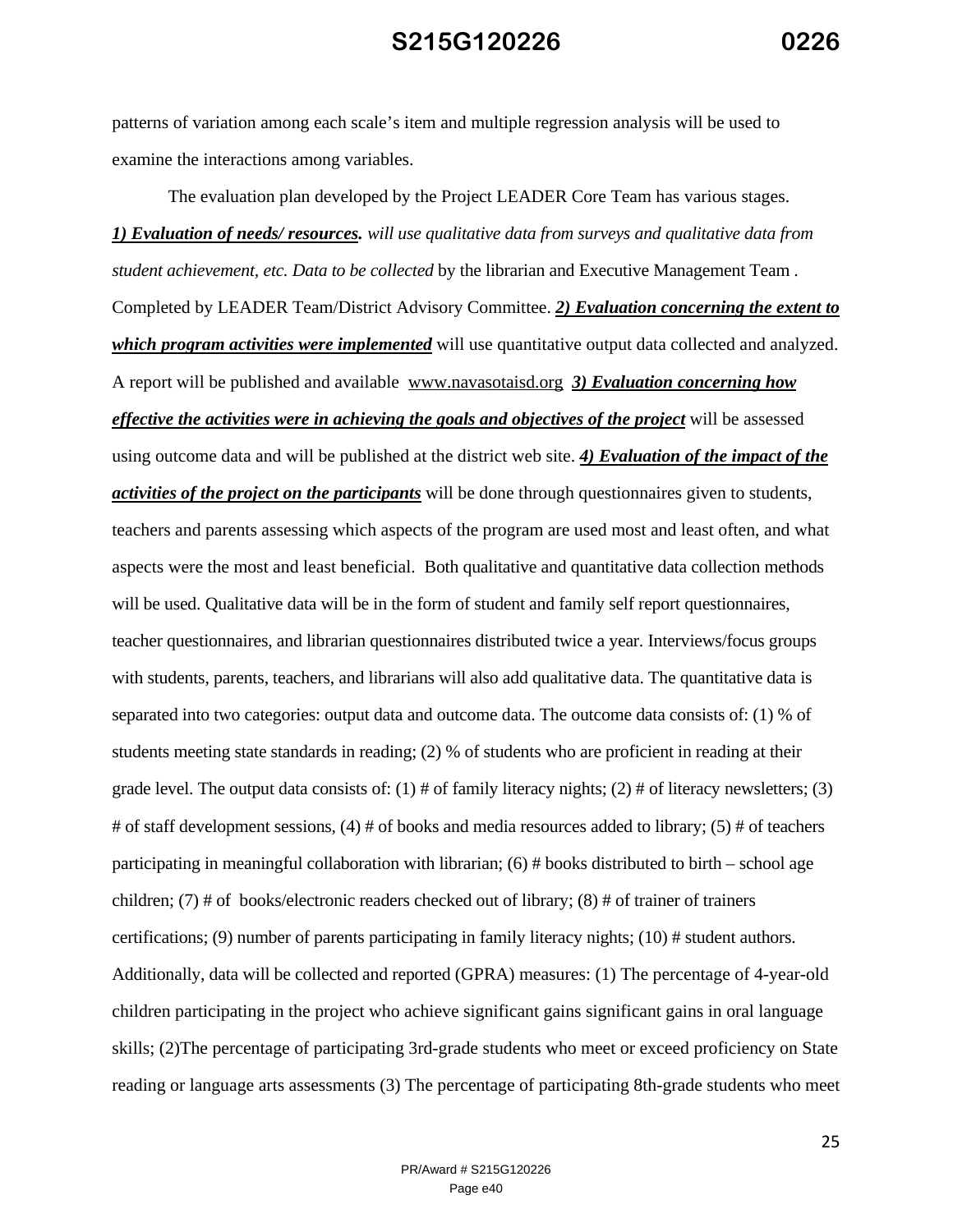patterns of variation among each scale's item and multiple regression analysis will be used to examine the interactions among variables.

The evaluation plan developed by the Project LEADER Core Team has various stages. *1) Evaluation of needs/ resources. will use qualitative data from surveys and qualitative data from student achievement, etc. Data to be collected* by the librarian and Executive Management Team . Completed by LEADER Team/District Advisory Committee. *2) Evaluation concerning the extent to which program activities were implemented* will use quantitative output data collected and analyzed. A report will be published and available www.navasotaisd.org *3) Evaluation concerning how effective the activities were in achieving the goals and objectives of the project* will be assessed using outcome data and will be published at the district web site. *4) Evaluation of the impact of the activities of the project on the participants* will be done through questionnaires given to students, teachers and parents assessing which aspects of the program are used most and least often, and what aspects were the most and least beneficial. Both qualitative and quantitative data collection methods will be used. Qualitative data will be in the form of student and family self report questionnaires, teacher questionnaires, and librarian questionnaires distributed twice a year. Interviews/focus groups with students, parents, teachers, and librarians will also add qualitative data. The quantitative data is separated into two categories: output data and outcome data. The outcome data consists of: (1) % of students meeting state standards in reading; (2) % of students who are proficient in reading at their grade level. The output data consists of:  $(1)$  # of family literacy nights;  $(2)$  # of literacy newsletters;  $(3)$ # of staff development sessions, (4) # of books and media resources added to library; (5) # of teachers participating in meaningful collaboration with librarian;  $(6)$  # books distributed to birth – school age children; (7) # of books/electronic readers checked out of library; (8) # of trainer of trainers certifications; (9) number of parents participating in family literacy nights; (10) # student authors. Additionally, data will be collected and reported (GPRA) measures: (1) The percentage of 4-year-old children participating in the project who achieve significant gains significant gains in oral language skills; (2)The percentage of participating 3rd-grade students who meet or exceed proficiency on State reading or language arts assessments (3) The percentage of participating 8th-grade students who meet